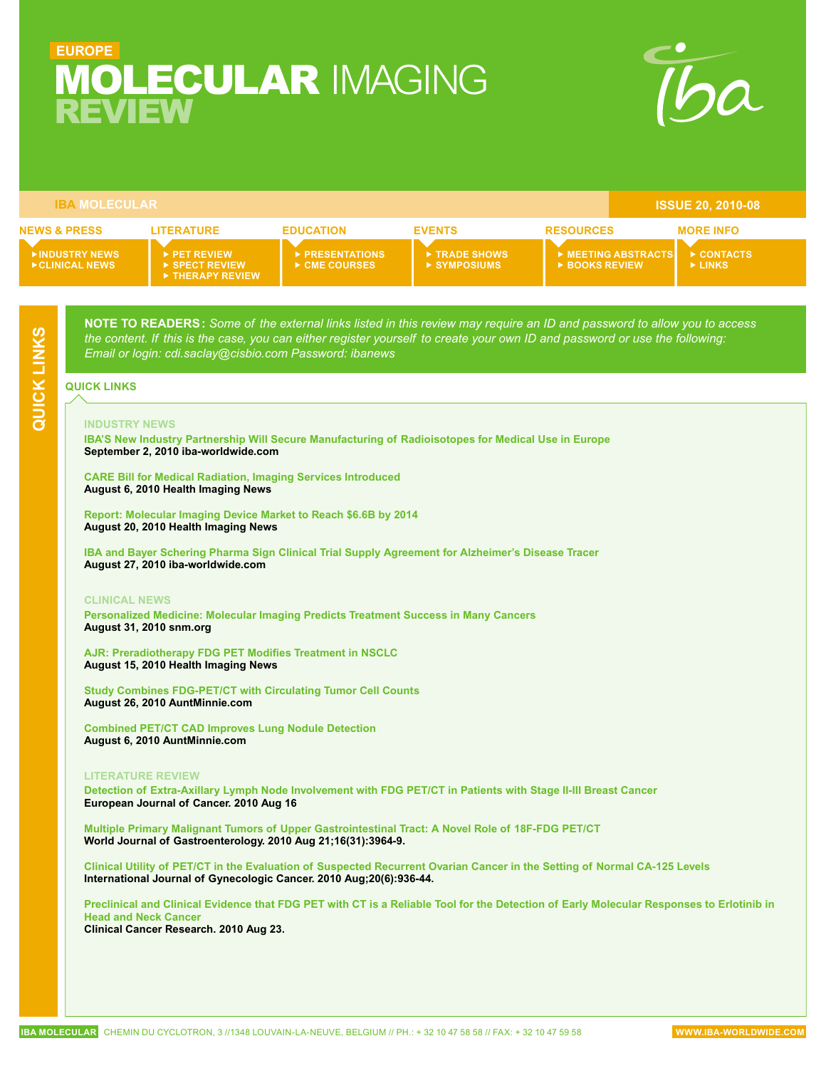# <span id="page-0-0"></span>REVIEW **EUROPE** Molecular Imaging



| <b>IBA MOLECULAR</b>                     |                                                                                |                                         |                                            |                                     | <b>ISSUE 20, 2010-08</b>           |
|------------------------------------------|--------------------------------------------------------------------------------|-----------------------------------------|--------------------------------------------|-------------------------------------|------------------------------------|
| <b>NEWS &amp; PRESS</b>                  | <b>LITERATURE</b>                                                              | <b>EDUCATION</b>                        | <b>EVENTS</b>                              | <b>RESOURCES</b>                    | <b>MORE INFO</b>                   |
| <b>NINDUSTRY NEWS</b><br>▶ CLINICAL NEWS | PET REVIEW<br>$\triangleright$ SPECT REVIEW<br>$\triangleright$ THERAPY REVIEW | <b>EXPRESENTATIONS</b><br>▶ CME COURSES | TRADE SHOWS<br>$\triangleright$ SYMPOSIUMS | MEETING ABSTRACTS<br>▶ BOOKS REVIEW | CONTACTS<br>$\triangleright$ LINKS |

**NOTE TO READERS :** *Some of the external links listed in this review may require an ID and password to allow you to access the content. If this is the case, you can either register yourself to create your own ID and password or use the following: Email or login: cdi.saclay@cisbio.com Password: ibanews*

#### **QUICK LINKS HOME**

#### **INDUSTRY NEWS**

**[IBA'S New Industry Partnership Will Secure Manufacturing of Radioisotopes for Medical Use in Europe](http://group.iba-worldwide.com/sites/default/files/pressroom/100902%20IBA%20PR_MolyAgreement%20english_FINAL.pdf) September 2, 2010 iba-worldwide.com**

**[CARE Bill for Medical Radiation, Imaging Services Introduced](http://www.healthimaging.com/index.php?option=com_articles&view=article&id=23575)  August 6, 2010 Health Imaging News**

**[Report: Molecular Imaging Device Market to Reach \\$6.6B by 2014](http://www.healthimaging.com/index.php?option=com_articles&view=article&id=23757) August 20, 2010 Health Imaging News**

**[IBA and Bayer Schering Pharma Sign Clinical Trial Supply Agreement for Alzheimer's Disease Tracer](http://www.iba-molecular.com/sites/default/files/pressroom/PR_FLORBETABEN_Engl.pdf) August 27, 2010 iba-worldwide.com**

#### **Clinical News**

**[Personalized Medicine: Molecular Imaging Predicts Treatment Success in Many Cancers](http://interactive.snm.org/index.cfm?PageID=10002) August 31, 2010 snm.org**

**[AJR: Preradiotherapy FDG PET Modifies Treatment in NSCLC](http://www.healthimaging.com/index.php?option=com_articles&view=article&id=23673) August 15, 2010 Health Imaging News**

**[Study Combines FDG-PET/CT with Circulating Tumor Cell Counts](http://www.auntminnie.com/index.asp?Sec=sup&Sub=wom&Pag=dis&ItemId=91775&d=1) August 26, 2010 AuntMinnie.com**

**[Combined PET/CT CAD Improves Lung Nodule Detection](http://www.auntminnie.com/index.asp?Sec=sup&Sub=mol&Pag=dis&ItemId=91495&wf=3866) August 6, 2010 AuntMinnie.com**

#### **Literature Review**

**[Detection of Extra-Axillary Lymph Node Involvement with FDG PET/CT in Patients with Stage II-III Breast Cancer](http://www.ncbi.nlm.nih.gov/pubmed/20719497?dopt=abstractplus) European Journal of Cancer. 2010 Aug 16**

**[Multiple Primary Malignant Tumors of Upper Gastrointestinal Tract: A Novel Role of 18F-FDG PET/CT](http://www.ncbi.nlm.nih.gov/pubmed/20712059) World Journal of Gastroenterology. 2010 Aug 21;16(31):3964-9.**

**[Clinical Utility of PET/CT in the Evaluation of Suspected Recurrent Ovarian Cancer in the Setting of Normal CA-125 Levels](http://www.ncbi.nlm.nih.gov/pubmed/20683399) International Journal of Gynecologic Cancer. 2010 Aug;20(6):936-44.**

**[Preclinical and Clinical Evidence that FDG PET with CT is a Reliable Tool for the Detection of Early Molecular Responses to Erlotinib in](http://www.ncbi.nlm.nih.gov/pubmed/20660574)  [Head and Neck Cancer](http://www.ncbi.nlm.nih.gov/pubmed/20660574) Clinical Cancer Research. 2010 Aug 23.**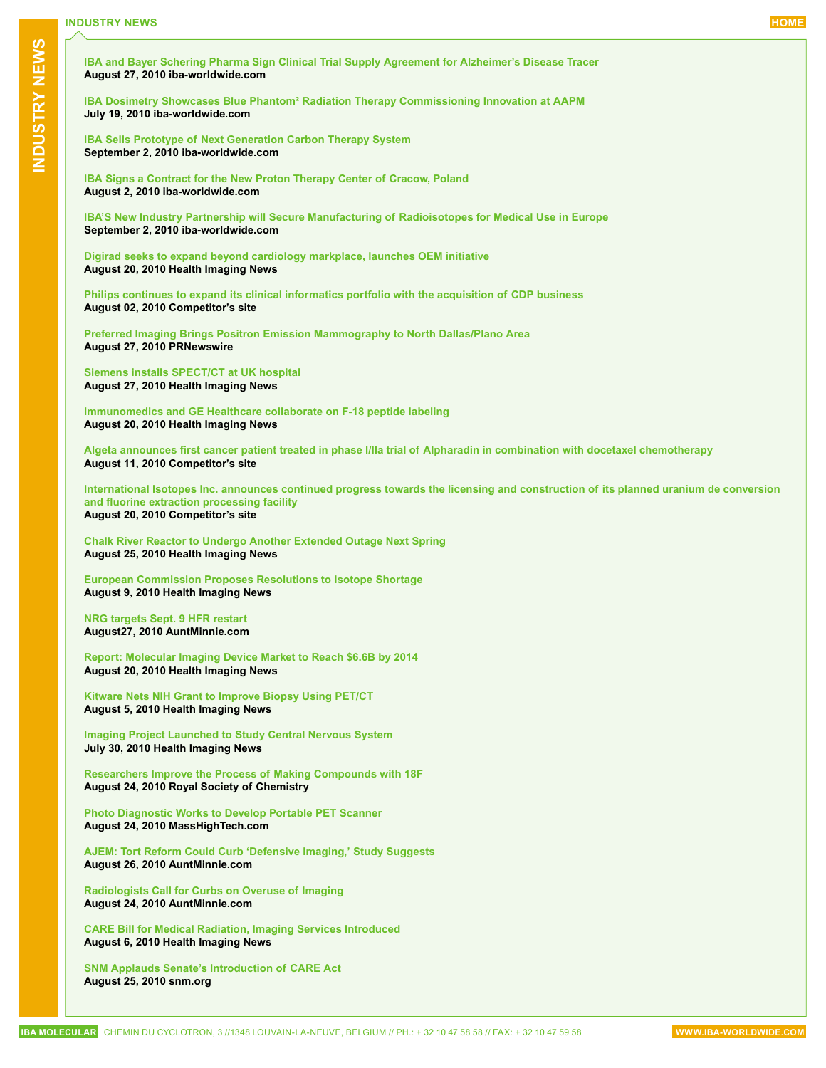<span id="page-1-0"></span>**[IBA and Bayer Schering Pharma Sign Clinical Trial Supply Agreement for Alzheimer's Disease Tracer](http://www.iba-molecular.com/sites/default/files/pressroom/PR_FLORBETABEN_Engl.pdf) August 27, 2010 iba-worldwide.com**

**[IBA Dosimetry Showcases Blue Phantom² Radiation Therapy Commissioning Innovation at AAPM](http://www.iba-molecular.com/sites/default/files/pressroom/AAPM_BP2_Press_Release.pdf) July 19, 2010 iba-worldwide.com**

**[IBA Sells Prototype of Next Generation Carbon Therapy System](http://group.iba-worldwide.com/sites/default/files/pressroom/100902%20IBA%20PR%20Cyclotron%20EN.pdf)  September 2, 2010 iba-worldwide.com**

**[IBA Signs a Contract for the New Proton Therapy Center of Cracow, Poland](http://group.iba-worldwide.com/sites/default/files/pressroom/100802%20IBA%20PR%20PT%20Cracow%20%20UK.pdf) August 2, 2010 iba-worldwide.com**

**[IBA'S New Industry Partnership will Secure Manufacturing of Radioisotopes for Medical Use in Europe](http://group.iba-worldwide.com/sites/default/files/pressroom/100902%20IBA%20PR_MolyAgreement%20english_FINAL.pdf)  September 2, 2010 iba-worldwide.com**

**[Digirad seeks to expand beyond cardiology markplace, launches OEM initiative](http://www.healthimaging.com/index.php?option=com_articles&view=portal&id=publication:10:article:23739:digirad-seeks-to-expand-beyond-cardiology-markplace-launches-oem-initiative&division=hiit) August 20, 2010 Health Imaging News**

**[Philips continues to expand its clinical informatics portfolio with the acquisition of CDP business](http://www.newscenter.philips.com/main/standard/news/press/2010/20100802_cdp.wpd) August 02, 2010 Competitor's site**

**[Preferred Imaging Brings Positron Emission Mammography to North Dallas/Plano Area](http://www.prnewswire.com/news-releases/preferred-imaging-brings-positron-emission-mammography-to-north-dallasplano-area-101550028.html) August 27, 2010 PRNewswire**

**[Siemens installs SPECT/CT at UK hospital](http://www.healthimaging.com/index.php?option=com_articles&view=portal&id=publication:10:article:23955:siemens-installs-spectct-at-uk-hospital&division=hiit) August 27, 2010 Health Imaging News**

**Immunomedics and GE [Healthcare collaborate on F-18 peptide labeling](http://www.healthimaging.com/index.php?option=com_articles&view=portal&id=publication:10:article:23741:immunomedics-and-ge-healthcare-collaborate-on-f-18-peptide-labeling&division=hiit) August 20, 2010 Health Imaging News**

**[Algeta announces first cancer patient treated in phase I/IIa trial of Alpharadin in combination with docetaxel chemotherapy](http://www.algeta.no/xml_press_underside.asp?xml=http://cws.huginonline.com/A/134655/PR/201008/1437006.xml&m=34572&s=34686&ss=&d=2010-04-26) August 11, 2010 Competitor's site**

**ISA Molecular Cheminal Cheminal Cheminal Cheminal Cheminal Cheminal Cheminal Cheminal Cheminal Cheminal Cheminal Cheminal Cheminal Cheminal Cheminal Cheminal Cheminal Cheminal Cheminal Cheminal Cheminal Cheminal Cheminal [International Isotopes Inc. announces continued progress towards the licensing and construction of its planned uranium de conversion](http://www.intisoid.com/wp-content/uploads/2010/08/INISAnnouncesContinuedProgressTowardstheLicensingand-Construction.pdf)  [and fluorine extraction processing facility](http://www.intisoid.com/wp-content/uploads/2010/08/INISAnnouncesContinuedProgressTowardstheLicensingand-Construction.pdf) August 20, 2010 Competitor's site**

**[Chalk River Reactor to Undergo Another Extended Outage Next Spring](http://www.healthimaging.com/index.php?option=com_articles&view=article&id=23804) August 25, 2010 Health Imaging News**

**[European Commission Proposes Resolutions to Isotope Shortage](http://www.healthimaging.com/index.php?option=com_articles&view=article&id=23593)  August 9, 2010 Health Imaging News**

**[NRG targets Sept. 9 HFR restart](http://www.auntminnie.com/index.asp?Sec=sup&Sub=bai&Pag=dis&ItemId=91798) August27, 2010 AuntMinnie.com**

**[Report: Molecular Imaging Device Market to Reach \\$6.6B by 2014](http://www.healthimaging.com/index.php?option=com_articles&view=article&id=23757) August 20, 2010 Health Imaging News**

**Kitware Nets NIH [Grant to Improve Biopsy Using PET/CT](http://www.healthimaging.com/index.php?option=com_articles&view=article&id=23549)  August 5, 2010 Health Imaging News**

**[Imaging Project Launched to Study Central Nervous System](http://www.healthimaging.com/index.php?option=com_articles&view=article&id=23464&division=hiit&division=hiit)  July 30, 2010 Health Imaging News**

**[Researchers Improve the Process of Making Compounds with 18F](http://www.rsc.org/chemistryworld/News/2010/August/24081002.asp) August 24, 2010 Royal Society of Chemistry**

**[Photo Diagnostic Works to Develop Portable PET Scanner](http://www.masshightech.com/stories/2010/08/23/daily19-Bernard-Gordon-launches-medical-imaging-startup-Photo-Diagnostics.html) August 24, 2010 MassHighTech.com**

**[AJEM: Tort Reform Could Curb 'Defensive Imaging,' Study Suggests](http://www.auntminnie.com/index.asp?Sec=sup&Sub=imc&Pag=dis&ItemId=91776&wf=3879) August 26, 2010 AuntMinnie.com**

**[Radiologists Call for Curbs on Overuse of Imaging](http://www.auntminnie.com/index.asp?Sec=sup&Sub=imc&Pag=dis&ItemId=91761&wf=3879) August 24, 2010 AuntMinnie.com**

**[CARE Bill for Medical Radiation, Imaging Services Introduced](http://www.healthimaging.com/index.php?option=com_articles&view=article&id=23575)  August 6, 2010 Health Imaging News**

**[SNM Applauds Senate's Introduction of CARE Act](http://interactive.snm.org/index.cfm?PageID=9991) August 25, 2010 snm.org**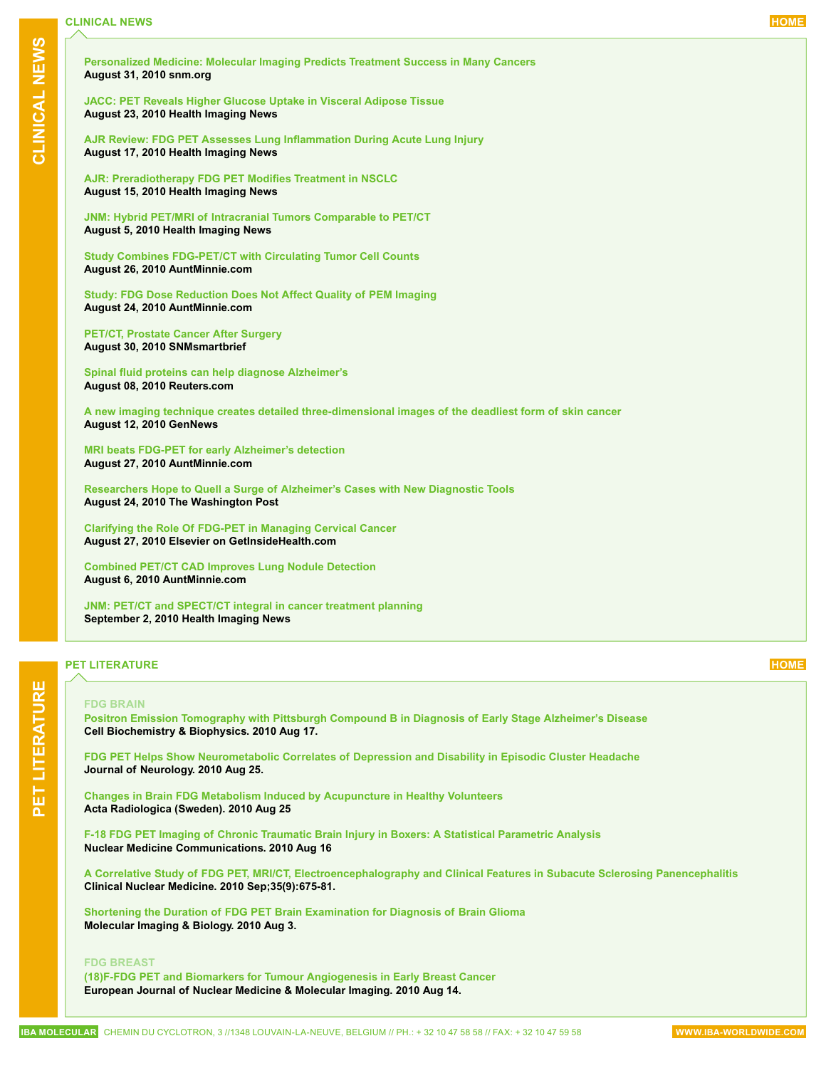<span id="page-2-0"></span>

| CLINICAL NEWS  | Personalized Medicine: Molecular Imaging Predicts Treatment Success in Many Cancers<br>August 31, 2010 snm.org                                                                   |
|----------------|----------------------------------------------------------------------------------------------------------------------------------------------------------------------------------|
|                | <b>JACC: PET Reveals Higher Glucose Uptake in Visceral Adipose Tissue</b><br>August 23, 2010 Health Imaging News                                                                 |
|                | AJR Review: FDG PET Assesses Lung Inflammation During Acute Lung Injury<br>August 17, 2010 Health Imaging News                                                                   |
|                | AJR: Preradiotherapy FDG PET Modifies Treatment in NSCLC<br>August 15, 2010 Health Imaging News                                                                                  |
|                | JNM: Hybrid PET/MRI of Intracranial Tumors Comparable to PET/CT<br>August 5, 2010 Health Imaging News                                                                            |
|                | <b>Study Combines FDG-PET/CT with Circulating Tumor Cell Counts</b><br>August 26, 2010 AuntMinnie.com                                                                            |
|                | <b>Study: FDG Dose Reduction Does Not Affect Quality of PEM Imaging</b><br>August 24, 2010 AuntMinnie.com                                                                        |
|                | <b>PET/CT, Prostate Cancer After Surgery</b><br>August 30, 2010 SNMsmartbrief                                                                                                    |
|                | Spinal fluid proteins can help diagnose Alzheimer's<br>August 08, 2010 Reuters.com                                                                                               |
|                | A new imaging technique creates detailed three-dimensional images of the deadliest form of skin cancer<br>August 12, 2010 GenNews                                                |
|                | MRI beats FDG-PET for early Alzheimer's detection<br>August 27, 2010 AuntMinnie.com                                                                                              |
|                | Researchers Hope to Quell a Surge of Alzheimer's Cases with New Diagnostic Tools<br>August 24, 2010 The Washington Post                                                          |
|                | <b>Clarifying the Role Of FDG-PET in Managing Cervical Cancer</b><br>August 27, 2010 Elsevier on GetInsideHealth.com                                                             |
|                | <b>Combined PET/CT CAD Improves Lung Nodule Detection</b><br>August 6, 2010 AuntMinnie.com                                                                                       |
|                | JNM: PET/CT and SPECT/CT integral in cancer treatment planning<br>September 2, 2010 Health Imaging News                                                                          |
|                | <b>HOME</b><br><b>PET LITERATURE</b>                                                                                                                                             |
|                | <b>FDG BRAIN</b>                                                                                                                                                                 |
| PET LITERATURE | Positron Emission Tomography with Pittsburgh Compound B in Diagnosis of Early Stage Alzheimer's Disease<br>Cell Biochemistry & Biophysics. 2010 Aug 17.                          |
|                | FDG PET Helps Show Neurometabolic Correlates of Depression and Disability in Episodic Cluster Headache<br>Journal of Neurology. 2010 Aug 25.                                     |
|                | <b>Changes in Brain FDG Metabolism Induced by Acupuncture in Healthy Volunteers</b><br>Acta Radiologica (Sweden). 2010 Aug 25                                                    |
|                | F-18 FDG PET Imaging of Chronic Traumatic Brain Injury in Boxers: A Statistical Parametric Analysis<br><b>Nuclear Medicine Communications. 2010 Aug 16</b>                       |
|                | A Correlative Study of FDG PET, MRI/CT, Electroencephalography and Clinical Features in Subacute Sclerosing Panencephalitis<br>Clinical Nuclear Medicine. 2010 Sep;35(9):675-81. |
|                | Shortening the Duration of FDG PET Brain Examination for Diagnosis of Brain Glioma<br>Molecular Imaging & Biology. 2010 Aug 3.                                                   |
|                | <b>FDG BREAST</b><br>(18)F-FDG PET and Biomarkers for Tumour Angiogenesis in Early Breast Cancer<br>European Journal of Nuclear Medicine & Molecular Imaging. 2010 Aug 14.       |
|                | IBA MOLECULAR CHEMIN DU CYCLOTRON, 3 //1348 LOUVAIN-LA-NEUVE, BELGIUM // PH.: + 32 10 47 58 58 // FAX: + 32 10 47 59 58<br>WWW.IBA-WORLDWIDE.COM                                 |

# **PET literature [HOME](#page-0-0)**

### **FDG BRAIN**

### **FDG BREAST**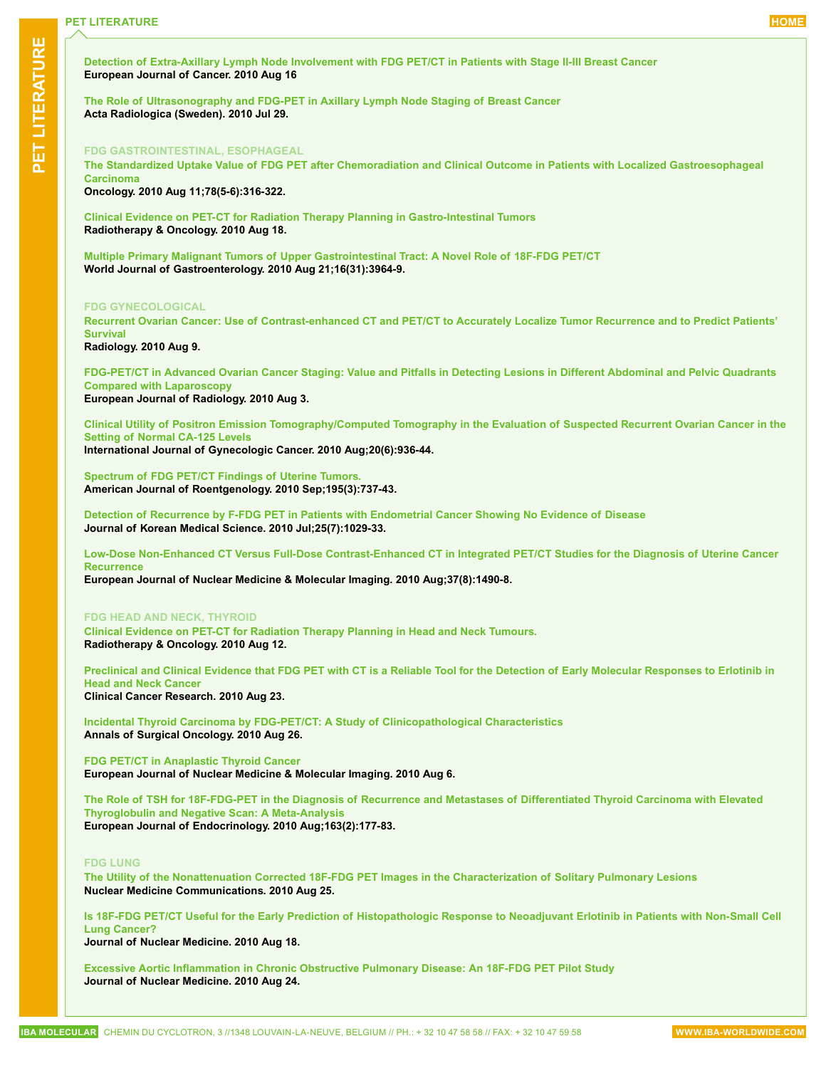**[Detection of Extra-Axillary Lymph Node Involvement with FDG PET/CT in Patients with Stage II-III Breast Cancer](http://www.ncbi.nlm.nih.gov/pubmed/20719497?dopt=abstractplus) European Journal of Cancer. 2010 Aug 16**

**[The Role of Ultrasonography and FDG-PET in Axillary Lymph Node Staging of Breast Cancer](http://www.ncbi.nlm.nih.gov/pubmed/20670083) Acta Radiologica (Sweden). 2010 Jul 29.**

#### **FDG GASTROINTESTINAL, ESOPHAGEAL**

**[The Standardized Uptake Value of FDG PET after Chemoradiation and Clinical Outcome in Patients with Localized Gastroesophageal](http://www.ncbi.nlm.nih.gov/pubmed/20699623?dopt=abstractplus)  [Carcinoma](http://www.ncbi.nlm.nih.gov/pubmed/20699623?dopt=abstractplus)**

**Oncology. 2010 Aug 11;78(5-6):316-322.** 

**[Clinical Evidence on PET-CT for Radiation Therapy Planning in Gastro-Intestinal Tumors](http://www.ncbi.nlm.nih.gov/pubmed/20727606) Radiotherapy & Oncology. 2010 Aug 18.**

**[Multiple Primary Malignant Tumors of Upper Gastrointestinal Tract: A Novel Role of 18F-FDG PET/CT](http://www.ncbi.nlm.nih.gov/pubmed/20712059) World Journal of Gastroenterology. 2010 Aug 21;16(31):3964-9.**

#### **FDG GYNECOLOGICAL**

**[Recurrent Ovarian Cancer: Use of Contrast-enhanced CT and PET/CT to Accurately Localize Tumor Recurrence and to Predict Patients'](http://www.ncbi.nlm.nih.gov/pubmed/20697116?dopt=abstractplus)  [Survival](http://www.ncbi.nlm.nih.gov/pubmed/20697116?dopt=abstractplus)**

**Radiology. 2010 Aug 9.**

**[FDG-PET/CT in Advanced Ovarian Cancer Staging: Value and Pitfalls in Detecting Lesions in Different Abdominal and Pelvic Quadrants](http://www.ncbi.nlm.nih.gov/pubmed/20688446)  [Compared with Laparoscopy](http://www.ncbi.nlm.nih.gov/pubmed/20688446) European Journal of Radiology. 2010 Aug 3.**

**[Clinical Utility of Positron Emission Tomography/Computed Tomography in the Evaluation of Suspected Recurrent Ovarian Cancer in the](http://www.ncbi.nlm.nih.gov/pubmed/20683399)  [Setting of Normal CA-125 Levels](http://www.ncbi.nlm.nih.gov/pubmed/20683399)**

**International Journal of Gynecologic Cancer. 2010 Aug;20(6):936-44.**

**[Spectrum of FDG PET/CT Findings of Uterine Tumors.](http://www.ncbi.nlm.nih.gov/pubmed/20729454) American Journal of Roentgenology. 2010 Sep;195(3):737-43.**

**[Detection of Recurrence by F-FDG PET in Patients with Endometrial Cancer Showing No Evidence of Disease](http://www.ncbi.nlm.nih.gov/pubmed/20592894) Journal of Korean Medical Science. 2010 Jul;25(7):1029-33.**

**[Low-Dose Non-Enhanced CT Versus Full-Dose Contrast-Enhanced CT in Integrated PET/CT Studies for the Diagnosis of Uterine Cancer](http://www.ncbi.nlm.nih.gov/pubmed/20386901)  [Recurrence](http://www.ncbi.nlm.nih.gov/pubmed/20386901)**

**European Journal of Nuclear Medicine & Molecular Imaging. 2010 Aug;37(8):1490-8.**

#### **FDG HEAD AND NECK, THYROID**

**[Clinical Evidence on PET-CT for Radiation Therapy Planning in Head and Neck Tumours.](http://www.ncbi.nlm.nih.gov/pubmed/20708808) Radiotherapy & Oncology. 2010 Aug 12.**

**[Preclinical and Clinical Evidence that FDG PET with CT is a Reliable Tool for the Detection of Early Molecular Responses to Erlotinib in](http://www.ncbi.nlm.nih.gov/pubmed/20660574)  [Head and Neck Cancer](http://www.ncbi.nlm.nih.gov/pubmed/20660574) Clinical Cancer Research. 2010 Aug 23.**

**[Incidental Thyroid Carcinoma by FDG-PET/CT: A Study of Clinicopathological Characteristics](http://www.ncbi.nlm.nih.gov/pubmed/20740320) Annals of Surgical Oncology. 2010 Aug 26.**

**[FDG PET/CT in Anaplastic Thyroid Cancer](http://www.ncbi.nlm.nih.gov/pubmed/20694463) European Journal of Nuclear Medicine & Molecular Imaging. 2010 Aug 6.**

**[The Role of TSH for 18F-FDG-PET in the Diagnosis of Recurrence and Metastases of Differentiated Thyroid Carcinoma with Elevated](http://www.ncbi.nlm.nih.gov/pubmed/20484385)  [Thyroglobulin and Negative Scan: A Meta-Analysis](http://www.ncbi.nlm.nih.gov/pubmed/20484385) European Journal of Endocrinology. 2010 Aug;163(2):177-83.**

#### **FDG LUNG**

**[The Utility of the Nonattenuation Corrected 18F-FDG PET Images in the Characterization of Solitary Pulmonary Lesions](http://www.ncbi.nlm.nih.gov/pubmed/20739905?dopt=abstractplus) Nuclear Medicine Communications. 2010 Aug 25.**

**[Is 18F-FDG PET/CT Useful for the Early Prediction of Histopathologic Response to Neoadjuvant Erlotinib in Patients with Non-Small Cell](http://www.ncbi.nlm.nih.gov/pubmed/20720059?dopt=abstractplus)  [Lung Cancer?](http://www.ncbi.nlm.nih.gov/pubmed/20720059?dopt=abstractplus)**

**Journal of Nuclear Medicine. 2010 Aug 18.**

**[Excessive Aortic Inflammation in Chronic Obstructive Pulmonary Disease: An 18F-FDG PET Pilot Study](http://www.ncbi.nlm.nih.gov/pubmed/20720052) Journal of Nuclear Medicine. 2010 Aug 24.**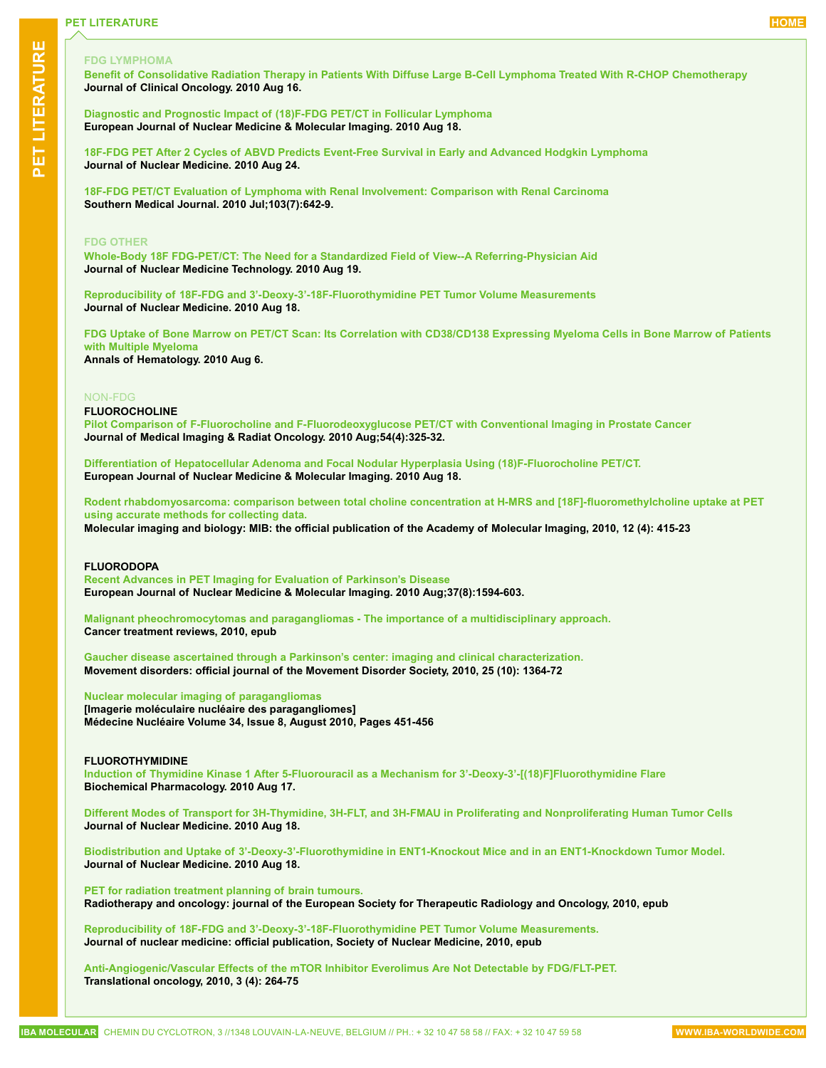# **FDG LYMPHOMA**

**[Benefit of Consolidative Radiation Therapy in Patients With Diffuse Large B-Cell Lymphoma Treated With R-CHOP Chemotherapy](http://www.ncbi.nlm.nih.gov/pubmed/20713859?dopt=abstractplus) Journal of Clinical Oncology. 2010 Aug 16.**

**[Diagnostic and Prognostic Impact of \(18\)F-FDG PET/CT in Follicular Lymphoma](http://www.ncbi.nlm.nih.gov/pubmed/20717826?dopt=abstractplus) European Journal of Nuclear Medicine & Molecular Imaging. 2010 Aug 18.**

**[18F-FDG PET After 2 Cycles of ABVD Predicts Event-Free Survival in Early and Advanced Hodgkin Lymphoma](http://www.ncbi.nlm.nih.gov/pubmed/20720036?dopt=abstractplus) Journal of Nuclear Medicine. 2010 Aug 24.**

**[18F-FDG PET/CT Evaluation of Lymphoma with Renal Involvement: Comparison with Renal Carcinoma](http://www.ncbi.nlm.nih.gov/pubmed/20531045) Southern Medical Journal. 2010 Jul;103(7):642-9.**

#### **FDG OTHER**

**Whole-Body 18F [FDG-PET/CT: The Need for a Standardized Field of View--A Referring-Physician Aid](http://www.ncbi.nlm.nih.gov/pubmed/20724533) Journal of Nuclear Medicine Technology. 2010 Aug 19.**

**[Reproducibility of 18F-FDG and 3'-Deoxy-3'-18F-Fluorothymidine PET Tumor Volume Measurements](http://www.ncbi.nlm.nih.gov/pubmed/20720054) Journal of Nuclear Medicine. 2010 Aug 18.**

**FDG [Uptake of Bone Marrow on PET/CT Scan: Its Correlation with CD38/CD138 Expressing Myeloma Cells in Bone Marrow of Patients](http://www.ncbi.nlm.nih.gov/pubmed/20690019)  [with Multiple Myeloma](http://www.ncbi.nlm.nih.gov/pubmed/20690019) Annals of Hematology. 2010 Aug 6.**

#### NON-FDG

#### **FLUOROCHOLINE**

**[Pilot Comparison of F-Fluorocholine and F-Fluorodeoxyglucose PET/CT with Conventional Imaging in Prostate Cancer](http://www.ncbi.nlm.nih.gov/pubmed/20718912) Journal of Medical Imaging & Radiat Oncology. 2010 Aug;54(4):325-32.**

**[Differentiation of Hepatocellular Adenoma and Focal Nodular Hyperplasia Using \(18\)F-Fluorocholine PET/CT.](http://www.ncbi.nlm.nih.gov/pubmed/20717825) European Journal of Nuclear Medicine & Molecular Imaging. 2010 Aug 18.**

**[Rodent rhabdomyosarcoma: comparison between total choline concentration at H-MRS and \[18F\]-fluoromethylcholine uptake at PET](http://www.ncbi.nlm.nih.gov/pubmed/19937391)  [using accurate methods for collecting data.](http://www.ncbi.nlm.nih.gov/pubmed/19937391)**

**Molecular imaging and biology: MIB: the official publication of the Academy of Molecular Imaging, 2010, 12 (4): 415-23**

### **FLUORODOPA**

**[Recent Advances in PET Imaging for Evaluation of Parkinson's Disease](http://www.ncbi.nlm.nih.gov/pubmed/20107789) European Journal of Nuclear Medicine & Molecular Imaging. 2010 Aug;37(8):1594-603.**

**[Malignant pheochromocytomas and paragangliomas - The importance of a multidisciplinary approach.](http://www.ncbi.nlm.nih.gov/pubmed/20675056) Cancer treatment reviews, 2010, epub**

**[Gaucher disease ascertained through a Parkinson's center: imaging and clinical characterization.](http://www.ncbi.nlm.nih.gov/pubmed/20629126) Movement disorders: official journal of the Movement Disorder Society, 2010, 25 (10): 1364-72**

#### **[Nuclear molecular imaging of paragangliomas](http://www.sciencedirect.com/science/article/B8CXJ-50KVG5N-7/2/cb5ecd14736f5e0d9cfc03aa536e8d8f)**

**[Imagerie moléculaire nucléaire des paragangliomes] Médecine Nucléaire Volume 34, Issue 8, August 2010, Pages 451-456**

### **FLUOROTHYMIDINE**

**[Induction of Thymidine Kinase 1 After 5-Fluorouracil as a Mechanism for 3'-Deoxy-3'-\[\(18\)F\]Fluorothymidine Flare](http://www.ncbi.nlm.nih.gov/pubmed/20723540) Biochemical Pharmacology. 2010 Aug 17.**

**[Different Modes of Transport for 3H-Thymidine, 3H-FLT, and 3H-FMAU in Proliferating and Nonproliferating Human Tumor Cells](http://www.ncbi.nlm.nih.gov/pubmed/20720049) Journal of Nuclear Medicine. 2010 Aug 18.**

**[Biodistribution and Uptake of 3'-Deoxy-3'-Fluorothymidine in ENT1-Knockout Mice and in an ENT1-Knockdown Tumor Model.](http://www.ncbi.nlm.nih.gov/pubmed/20720035) Journal of Nuclear Medicine. 2010 Aug 18.**

**[PET for radiation treatment planning of brain tumours.](http://www.ncbi.nlm.nih.gov/pubmed/20728952) Radiotherapy and oncology: journal of the European Society for Therapeutic Radiology and Oncology, 2010, epub**

**[Reproducibility of 18F-FDG and 3'-Deoxy-3'-18F-Fluorothymidine PET Tumor Volume Measurements.](http://www.ncbi.nlm.nih.gov/pubmed/20720054) Journal of nuclear medicine: official publication, Society of Nuclear Medicine, 2010, epub**

**[Anti-Angiogenic/Vascular Effects of the mTOR Inhibitor Everolimus Are Not Detectable by FDG/FLT-PET.](http://www.ncbi.nlm.nih.gov/pubmed/20689768) Translational oncology, 2010, 3 (4): 264-75**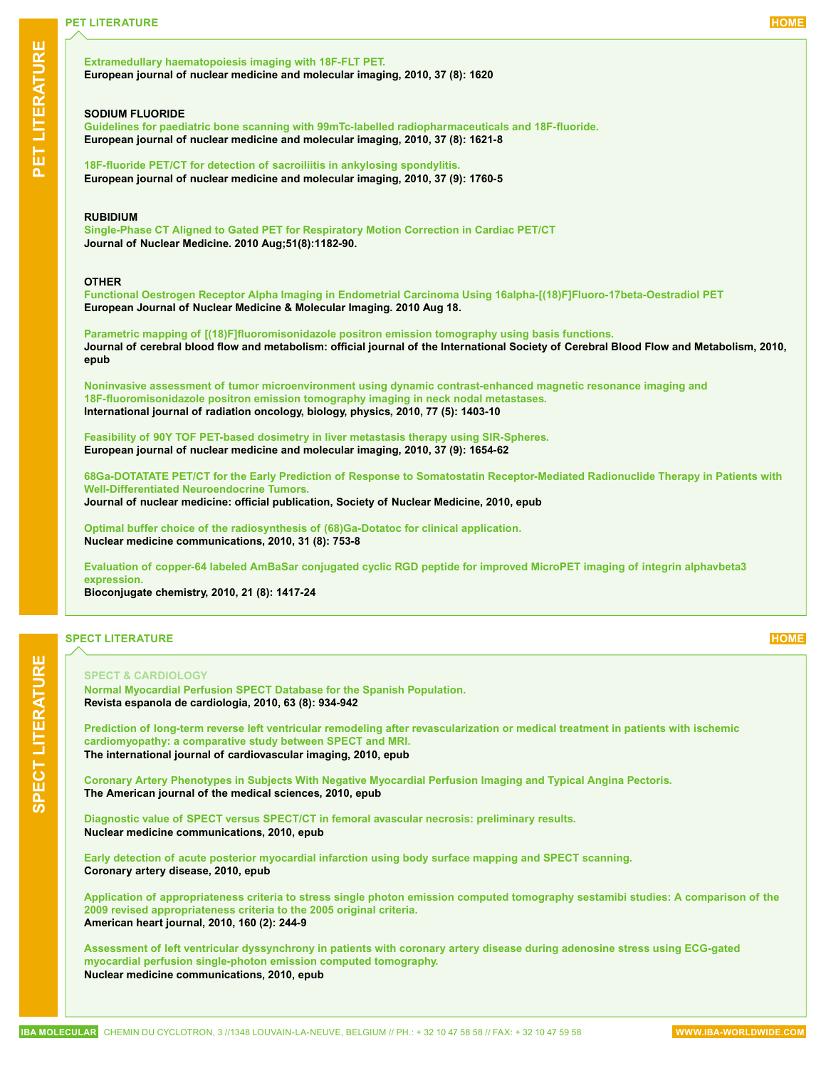### <span id="page-5-0"></span>**[Extramedullary haematopoiesis imaging with 18F-FLT PET.](http://www.ncbi.nlm.nih.gov/pubmed/20512326) European journal of nuclear medicine and molecular imaging, 2010, 37 (8): 1620**

#### **SODIUM FLUORIDE**

**[Guidelines for paediatric bone scanning with 99mTc-labelled radiopharmaceuticals and 18F-fluoride.](http://www.ncbi.nlm.nih.gov/pubmed/20544194) European journal of nuclear medicine and molecular imaging, 2010, 37 (8): 1621-8**

**[18F-fluoride PET/CT for detection of sacroiliitis in ankylosing spondylitis.](http://www.ncbi.nlm.nih.gov/pubmed/20505935) European journal of nuclear medicine and molecular imaging, 2010, 37 (9): 1760-5**

#### **RUBIDIUM**

**[Single-Phase CT Aligned to Gated PET for Respiratory Motion Correction in Cardiac PET/CT](http://www.ncbi.nlm.nih.gov/pubmed/20660386) Journal of Nuclear Medicine. 2010 Aug;51(8):1182-90.**

#### **OTHER**

**[Functional Oestrogen Receptor Alpha Imaging in Endometrial Carcinoma Using 16alpha-\[\(18\)F\]Fluoro-17beta-Oestradiol PET](http://www.ncbi.nlm.nih.gov/pubmed/20717823) European Journal of Nuclear Medicine & Molecular Imaging. 2010 Aug 18.**

**[Parametric mapping of \[\(18\)F\]fluoromisonidazole positron emission tomography using basis functions.](http://www.ncbi.nlm.nih.gov/pubmed/20736963) Journal of cerebral blood flow and metabolism: official journal of the International Society of Cerebral Blood Flow and Metabolism, 2010, epub**

**[Noninvasive assessment of tumor microenvironment using dynamic contrast-enhanced magnetic resonance imaging and](http://www.ncbi.nlm.nih.gov/pubmed/19906496)  [18F-fluoromisonidazole positron emission tomography imaging in neck nodal metastases.](http://www.ncbi.nlm.nih.gov/pubmed/19906496) International journal of radiation oncology, biology, physics, 2010, 77 (5): 1403-10**

**[Feasibility of 90Y TOF PET-based dosimetry in liver metastasis therapy using SIR-Spheres.](http://www.ncbi.nlm.nih.gov/pubmed/20422185) European journal of nuclear medicine and molecular imaging, 2010, 37 (9): 1654-62**

**[68Ga-DOTATATE PET/CT for the Early Prediction of Response to Somatostatin Receptor-Mediated Radionuclide Therapy in Patients with](http://www.ncbi.nlm.nih.gov/pubmed/20720050)  [Well-Differentiated Neuroendocrine Tumors.](http://www.ncbi.nlm.nih.gov/pubmed/20720050) Journal of nuclear medicine: official publication, Society of Nuclear Medicine, 2010, epub**

**[Optimal buffer choice of the radiosynthesis of \(68\)Ga-Dotatoc for clinical application.](http://www.ncbi.nlm.nih.gov/pubmed/20512080) Nuclear medicine communications, 2010, 31 (8): 753-8**

**[Evaluation of copper-64 labeled AmBaSar conjugated cyclic RGD peptide for improved MicroPET imaging of integrin alphavbeta3](http://www.ncbi.nlm.nih.gov/pubmed/20666401)  [expression.](http://www.ncbi.nlm.nih.gov/pubmed/20666401)**

**Bioconjugate chemistry, 2010, 21 (8): 1417-24**

# **SPECT LITERATURE [HOME](#page-0-0)**

#### **SPECT & CARDIOLOGY**

**[Normal Myocardial Perfusion SPECT Database for the Spanish Population.](http://www.ncbi.nlm.nih.gov/pubmed/20738938) Revista espanola de cardiologia, 2010, 63 (8): 934-942**

**[Prediction of long-term reverse left ventricular remodeling after revascularization or medical treatment in patients with ischemic](http://www.ncbi.nlm.nih.gov/pubmed/20725789)  [cardiomyopathy: a comparative study between SPECT and MRI.](http://www.ncbi.nlm.nih.gov/pubmed/20725789) The international journal of cardiovascular imaging, 2010, epub**

**[Coronary Artery Phenotypes in Subjects With Negative Myocardial Perfusion Imaging and Typical Angina Pectoris.](http://www.ncbi.nlm.nih.gov/pubmed/20724904) The American journal of the medical sciences, 2010, epub**

**[Diagnostic value of SPECT versus SPECT/CT in femoral avascular necrosis: preliminary results.](http://www.ncbi.nlm.nih.gov/pubmed/20717063) Nuclear medicine communications, 2010, epub**

**[Early detection of acute posterior myocardial infarction using body surface mapping and SPECT scanning.](http://www.ncbi.nlm.nih.gov/pubmed/20700053) Coronary artery disease, 2010, epub**

**[Application of appropriateness criteria to stress single photon emission computed tomography sestamibi studies: A comparison of the](http://www.ncbi.nlm.nih.gov/pubmed/20691828)  [2009 revised appropriateness criteria to the 2005 original criteria.](http://www.ncbi.nlm.nih.gov/pubmed/20691828) American heart journal, 2010, 160 (2): 244-9**

**[Assessment of left ventricular dyssynchrony in patients with coronary artery disease during adenosine stress using ECG-gated](http://www.ncbi.nlm.nih.gov/pubmed/20683366)  [myocardial perfusion single-photon emission computed tomography.](http://www.ncbi.nlm.nih.gov/pubmed/20683366) Nuclear medicine communications, 2010, epub**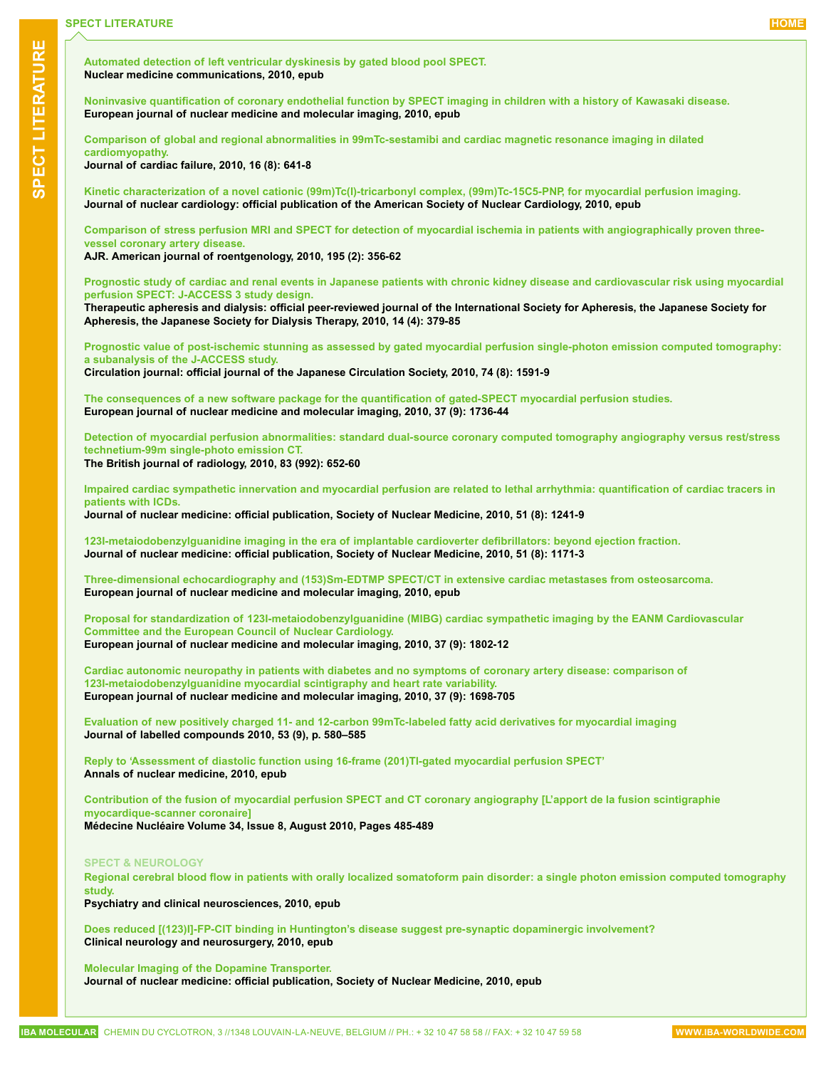**[Automated detection of left ventricular dyskinesis by gated blood pool SPECT.](http://www.ncbi.nlm.nih.gov/pubmed/20683365) Nuclear medicine communications, 2010, epub**

**[Noninvasive quantification of coronary endothelial function by SPECT imaging in children with a history of Kawasaki disease.](http://www.ncbi.nlm.nih.gov/pubmed/20680267) European journal of nuclear medicine and molecular imaging, 2010, epub**

**[Comparison of global and regional abnormalities in 99mTc-sestamibi and cardiac magnetic resonance imaging in dilated](http://www.ncbi.nlm.nih.gov/pubmed/20670843)  [cardiomyopathy.](http://www.ncbi.nlm.nih.gov/pubmed/20670843)**

**Journal of cardiac failure, 2010, 16 (8): 641-8**

**[Kinetic characterization of a novel cationic \(99m\)Tc\(I\)-tricarbonyl complex, \(99m\)Tc-15C5-PNP, for myocardial perfusion imaging.](http://www.ncbi.nlm.nih.gov/pubmed/20669059) Journal of nuclear cardiology: official publication of the American Society of Nuclear Cardiology, 2010, epub**

**[Comparison of stress perfusion MRI and SPECT for detection of myocardial ischemia in patients with angiographically proven three](http://www.ncbi.nlm.nih.gov/pubmed/20651190)[vessel coronary artery disease.](http://www.ncbi.nlm.nih.gov/pubmed/20651190)**

**AJR. American journal of roentgenology, 2010, 195 (2): 356-62**

**[Prognostic study of cardiac and renal events in Japanese patients with chronic kidney disease and cardiovascular risk using myocardial](http://www.ncbi.nlm.nih.gov/pubmed/20649758)  [perfusion SPECT: J-ACCESS 3 study design.](http://www.ncbi.nlm.nih.gov/pubmed/20649758)**

**Therapeutic apheresis and dialysis: official peer-reviewed journal of the International Society for Apheresis, the Japanese Society for Apheresis, the Japanese Society for Dialysis Therapy, 2010, 14 (4): 379-85**

**[Prognostic value of post-ischemic stunning as assessed by gated myocardial perfusion single-photon emission computed tomography:](http://www.ncbi.nlm.nih.gov/pubmed/20571246)  [a subanalysis of the J-ACCESS study.](http://www.ncbi.nlm.nih.gov/pubmed/20571246)**

**Circulation journal: official journal of the Japanese Circulation Society, 2010, 74 (8): 1591-9**

**[The consequences of a new software package for the quantification of gated-SPECT myocardial perfusion studies.](http://www.ncbi.nlm.nih.gov/pubmed/20503046) European journal of nuclear medicine and molecular imaging, 2010, 37 (9): 1736-44**

**[Detection of myocardial perfusion abnormalities: standard dual-source coronary computed tomography angiography versus rest/stress](http://www.ncbi.nlm.nih.gov/pubmed/20413446)  [technetium-99m single-photo emission CT](http://www.ncbi.nlm.nih.gov/pubmed/20413446).**

#### **The British journal of radiology, 2010, 83 (992): 652-60**

**[Impaired cardiac sympathetic innervation and myocardial perfusion are related to lethal arrhythmia: quantification of cardiac tracers in](http://www.ncbi.nlm.nih.gov/pubmed/20679471)  [patients with ICDs.](http://www.ncbi.nlm.nih.gov/pubmed/20679471)**

**Journal of nuclear medicine: official publication, Society of Nuclear Medicine, 2010, 51 (8): 1241-9**

**[123I-metaiodobenzylguanidine imaging in the era of implantable cardioverter defibrillators: beyond ejection fraction.](http://www.ncbi.nlm.nih.gov/pubmed/20660372) Journal of nuclear medicine: official publication, Society of Nuclear Medicine, 2010, 51 (8): 1171-3**

**[Three-dimensional echocardiography and \(153\)Sm-EDTMP SPECT/CT in extensive cardiac metastases from osteosarcoma.](http://www.ncbi.nlm.nih.gov/pubmed/20799033) European journal of nuclear medicine and molecular imaging, 2010, epub**

**[Proposal for standardization of 123I-metaiodobenzylguanidine \(MIBG\) cardiac sympathetic imaging by the EANM Cardiovascular](http://www.ncbi.nlm.nih.gov/pubmed/20577740)  [Committee and the European Council of Nuclear Cardiology.](http://www.ncbi.nlm.nih.gov/pubmed/20577740) European journal of nuclear medicine and molecular imaging, 2010, 37 (9): 1802-12**

**[Cardiac autonomic neuropathy in patients with diabetes and no symptoms of coronary artery disease: comparison of](http://www.ncbi.nlm.nih.gov/pubmed/20411258)  [123I-metaiodobenzylguanidine myocardial scintigraphy and heart rate variability.](http://www.ncbi.nlm.nih.gov/pubmed/20411258) European journal of nuclear medicine and molecular imaging, 2010, 37 (9): 1698-705**

**[Evaluation of new positively charged 11- and 12-carbon 99mTc-labeled fatty acid derivatives for myocardial imaging](http://onlinelibrary.wiley.com/doi/10.1002/jlcr.v53:9/issuetoc) Journal of labelled compounds 2010, 53 (9), p. 580–585**

**[Reply to 'Assessment of diastolic function using 16-frame \(201\)Tl-gated myocardial perfusion SPECT'](http://www.ncbi.nlm.nih.gov/pubmed/20700668) Annals of nuclear medicine, 2010, epub**

**[Contribution of the fusion of myocardial perfusion SPECT and CT coronary angiography \[L'apport de la fusion scintigraphie](http://www.sciencedirect.com/science/article/B8CXJ-50NGNRV-2/2/81dc88090ec4ebe94edfc9f397e5533c)  [myocardique-scanner coronaire\]](http://www.sciencedirect.com/science/article/B8CXJ-50NGNRV-2/2/81dc88090ec4ebe94edfc9f397e5533c)**

**Médecine Nucléaire Volume 34, Issue 8, August 2010, Pages 485-489**

#### **SPECT & NEUROLOGY**

**[Regional cerebral blood flow in patients with orally localized somatoform pain disorder: a single photon emission computed tomography](http://www.ncbi.nlm.nih.gov/pubmed/20727111)  [study.](http://www.ncbi.nlm.nih.gov/pubmed/20727111)**

**Psychiatry and clinical neurosciences, 2010, epub**

**[Does reduced \[\(123\)I\]-FP-CIT binding in Huntington's disease suggest pre-synaptic dopaminergic involvement?](http://www.ncbi.nlm.nih.gov/pubmed/20724066) Clinical neurology and neurosurgery, 2010, epub**

#### **[Molecular Imaging of the Dopamine Transporter.](http://www.ncbi.nlm.nih.gov/pubmed/20720060)**

**Journal of nuclear medicine: official publication, Society of Nuclear Medicine, 2010, epub**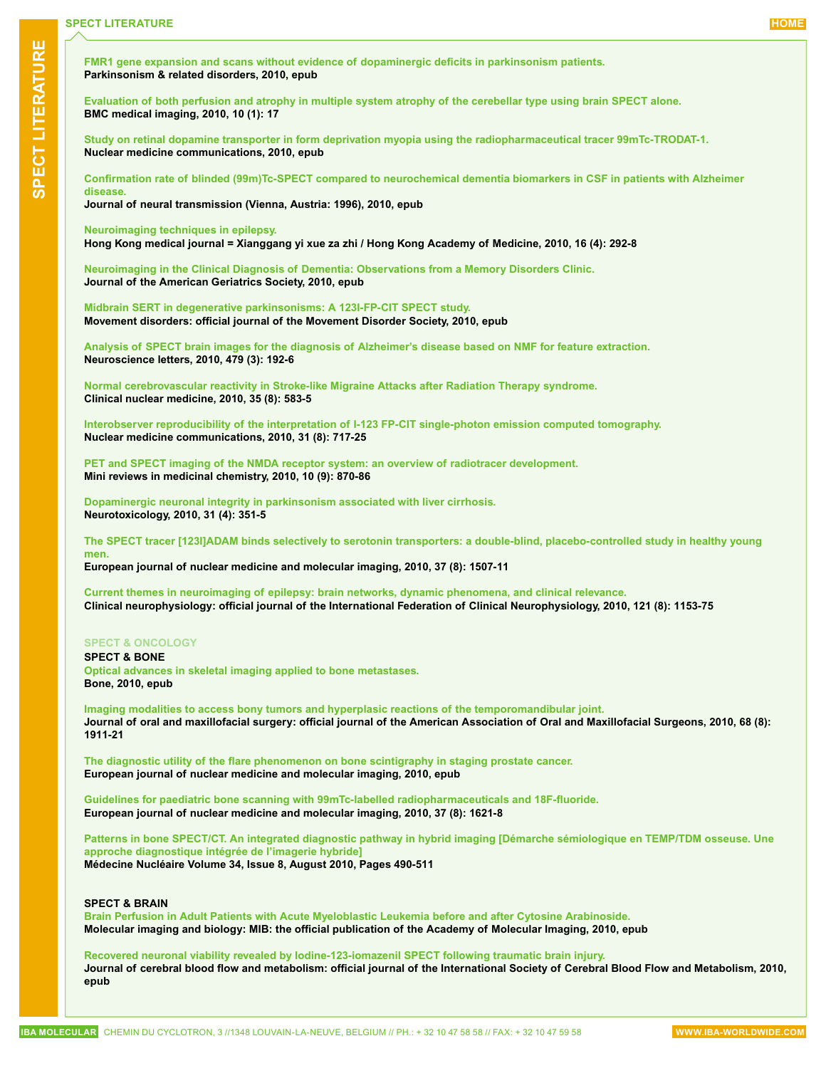**[FMR1 gene expansion and scans without evidence of dopaminergic deficits in parkinsonism patients.](http://www.ncbi.nlm.nih.gov/pubmed/20702130) Parkinsonism & related disorders, 2010, epub**

**[Evaluation of both perfusion and atrophy in multiple system atrophy of the cerebellar type using brain SPECT alone.](http://www.ncbi.nlm.nih.gov/pubmed/20701753) BMC medical imaging, 2010, 10 (1): 17**

**[Study on retinal dopamine transporter in form deprivation myopia using the radiopharmaceutical tracer 99mTc-TRODAT-1.](http://www.ncbi.nlm.nih.gov/pubmed/20700065) Nuclear medicine communications, 2010, epub**

**[Confirmation rate of blinded \(99m\)Tc-SPECT compared to neurochemical dementia biomarkers in CSF in patients with Alzheimer](http://www.ncbi.nlm.nih.gov/pubmed/20694486)  [disease.](http://www.ncbi.nlm.nih.gov/pubmed/20694486)**

**Journal of neural transmission (Vienna, Austria: 1996), 2010, epub**

**[Neuroimaging techniques in epilepsy.](http://www.ncbi.nlm.nih.gov/pubmed/20683073)**

**Hong Kong medical journal = Xianggang yi xue za zhi / Hong Kong Academy of Medicine, 2010, 16 (4): 292-8**

**[Neuroimaging in the Clinical Diagnosis of Dementia: Observations from a Memory Disorders Clinic.](http://www.ncbi.nlm.nih.gov/pubmed/20670380) Journal of the American Geriatrics Society, 2010, epub**

**[Midbrain SERT in degenerative parkinsonisms: A 123I-FP-CIT SPECT study.](http://www.ncbi.nlm.nih.gov/pubmed/20669272) Movement disorders: official journal of the Movement Disorder Society, 2010, epub**

**[Analysis of SPECT brain images for the diagnosis of Alzheimer's disease based on NMF for feature extraction.](http://www.ncbi.nlm.nih.gov/pubmed/20641163) Neuroscience letters, 2010, 479 (3): 192-6**

**[Normal cerebrovascular reactivity in Stroke-like Migraine Attacks after Radiation Therapy syndrome.](http://www.ncbi.nlm.nih.gov/pubmed/20631504) Clinical nuclear medicine, 2010, 35 (8): 583-5**

**[Interobserver reproducibility of the interpretation of I-123 FP-CIT single-photon emission computed tomography.](http://www.ncbi.nlm.nih.gov/pubmed/20614577) Nuclear medicine communications, 2010, 31 (8): 717-25**

**[PET and SPECT imaging of the NMDA receptor system: an overview of radiotracer development.](http://www.ncbi.nlm.nih.gov/pubmed/20504276) Mini reviews in medicinal chemistry, 2010, 10 (9): 870-86**

**[Dopaminergic neuronal integrity in parkinsonism associated with liver cirrhosis.](http://www.ncbi.nlm.nih.gov/pubmed/20457180) Neurotoxicology, 2010, 31 (4): 351-5**

**[The SPECT tracer \[123I\]ADAM binds selectively to serotonin transporters: a double-blind, placebo-controlled study in healthy young](http://www.ncbi.nlm.nih.gov/pubmed/20309682)  [men.](http://www.ncbi.nlm.nih.gov/pubmed/20309682)**

**European journal of nuclear medicine and molecular imaging, 2010, 37 (8): 1507-11**

**[Current themes in neuroimaging of epilepsy: brain networks, dynamic phenomena, and clinical relevance.](http://www.ncbi.nlm.nih.gov/pubmed/20185365) Clinical neurophysiology: official journal of the International Federation of Clinical Neurophysiology, 2010, 121 (8): 1153-75**

#### **SPECT & ONCOLOGY**

**SPECT & BONE [Optical advances in skeletal imaging applied to bone metastases.](http://www.ncbi.nlm.nih.gov/pubmed/20688203) Bone, 2010, epub**

**[Imaging modalities to access bony tumors and hyperplasic reactions of the temporomandibular joint.](http://www.ncbi.nlm.nih.gov/pubmed/20452115) Journal of oral and maxillofacial surgery: official journal of the American Association of Oral and Maxillofacial Surgeons, 2010, 68 (8): 1911-21**

**[The diagnostic utility of the flare phenomenon on bone scintigraphy in staging prostate cancer.](http://www.ncbi.nlm.nih.gov/pubmed/20697891) European journal of nuclear medicine and molecular imaging, 2010, epub**

**[Guidelines for paediatric bone scanning with 99mTc-labelled radiopharmaceuticals and 18F-fluoride.](http://www.ncbi.nlm.nih.gov/pubmed/20544194) European journal of nuclear medicine and molecular imaging, 2010, 37 (8): 1621-8**

**[Patterns in bone SPECT/CT. An integrated diagnostic pathway in hybrid imaging \[Démarche sémiologique en TEMP/TDM osseuse. Une](http://www.sciencedirect.com/science/article/B8CXJ-50NGNRV-3/2/9c2330048ea0311ea89b595d51baa7ea)  [approche diagnostique intégrée de l'imagerie hybride\]](http://www.sciencedirect.com/science/article/B8CXJ-50NGNRV-3/2/9c2330048ea0311ea89b595d51baa7ea) Médecine Nucléaire Volume 34, Issue 8, August 2010, Pages 490-511**

#### **SPECT & BRAIN**

**[Brain Perfusion in Adult Patients with Acute Myeloblastic Leukemia before and after Cytosine Arabinoside.](http://www.ncbi.nlm.nih.gov/pubmed/20737220) Molecular imaging and biology: MIB: the official publication of the Academy of Molecular Imaging, 2010, epub**

**[Recovered neuronal viability revealed by Iodine-123-iomazenil SPECT following traumatic brain injury.](http://www.ncbi.nlm.nih.gov/pubmed/20683454) Journal of cerebral blood flow and metabolism: official journal of the International Society of Cerebral Blood Flow and Metabolism, 2010, epub**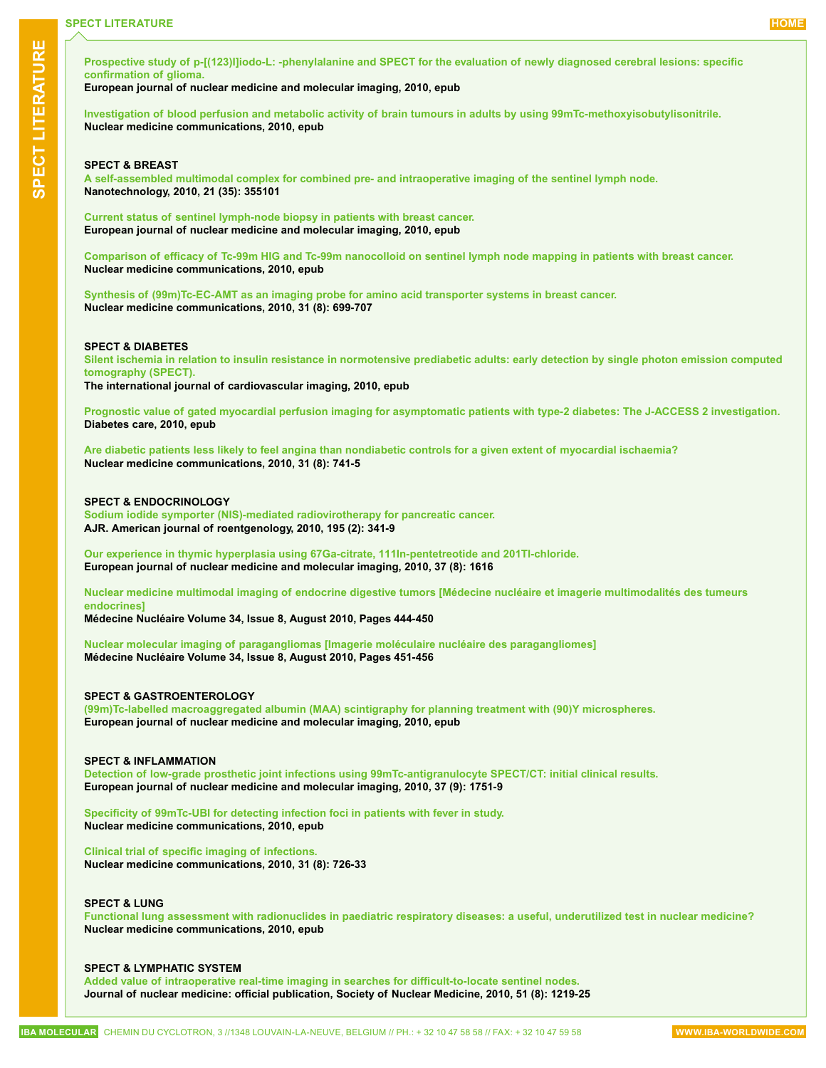**[Prospective study of p-\[\(123\)I\]iodo-L: -phenylalanine and SPECT for the evaluation of newly diagnosed cerebral lesions: specific](http://www.ncbi.nlm.nih.gov/pubmed/20676638)  [confirmation of glioma.](http://www.ncbi.nlm.nih.gov/pubmed/20676638)**

**European journal of nuclear medicine and molecular imaging, 2010, epub**

**[Investigation of blood perfusion and metabolic activity of brain tumours in adults by using 99mTc-methoxyisobutylisonitrile.](http://www.ncbi.nlm.nih.gov/pubmed/20802363) Nuclear medicine communications, 2010, epub**

### **SPECT & BREAST**

**[A self-assembled multimodal complex for combined pre- and intraoperative imaging of the sentinel lymph node.](http://www.ncbi.nlm.nih.gov/pubmed/20689167) Nanotechnology, 2010, 21 (35): 355101**

**[Current status of sentinel lymph-node biopsy in patients with breast cancer.](http://www.ncbi.nlm.nih.gov/pubmed/20700739) European journal of nuclear medicine and molecular imaging, 2010, epub**

**[Comparison of efficacy of Tc-99m HIG and Tc-99m nanocolloid on sentinel lymph node mapping in patients with breast cancer.](http://www.ncbi.nlm.nih.gov/pubmed/20683362) Nuclear medicine communications, 2010, epub**

**[Synthesis of \(99m\)Tc-EC-AMT as an imaging probe for amino acid transporter systems in breast cancer.](http://www.ncbi.nlm.nih.gov/pubmed/20495499) Nuclear medicine communications, 2010, 31 (8): 699-707**

# **SPECT & DIABETES**

**[Silent ischemia in relation to insulin resistance in normotensive prediabetic adults: early detection by single photon emission computed](http://www.ncbi.nlm.nih.gov/pubmed/20730497)  [tomography \(SPECT\).](http://www.ncbi.nlm.nih.gov/pubmed/20730497)**

**The international journal of cardiovascular imaging, 2010, epub**

**[Prognostic value of gated myocardial perfusion imaging for asymptomatic patients with type-2 diabetes: The J-ACCESS 2 investigation.](http://www.ncbi.nlm.nih.gov/pubmed/20724653) Diabetes care, 2010, epub**

**[Are diabetic patients less likely to feel angina than nondiabetic controls for a given extent of myocardial ischaemia?](http://www.ncbi.nlm.nih.gov/pubmed/20614496) Nuclear medicine communications, 2010, 31 (8): 741-5**

#### **SPECT & ENDOCRINOLOGY**

**[Sodium iodide symporter \(NIS\)-mediated radiovirotherapy for pancreatic cancer.](http://www.ncbi.nlm.nih.gov/pubmed/20651188) AJR. American journal of roentgenology, 2010, 195 (2): 341-9**

**[Our experience in thymic hyperplasia using 67Ga-citrate, 111In-pentetreotide and 201Tl-chloride.](http://www.ncbi.nlm.nih.gov/pubmed/20505931) European journal of nuclear medicine and molecular imaging, 2010, 37 (8): 1616**

**[Nuclear medicine multimodal imaging of endocrine digestive tumors \[Médecine nucléaire et imagerie multimodalités des tumeurs](http://www.sciencedirect.com/science/article/B8CXJ-50KVG5N-2/2/27ebf3dc760a92b55242b0133161501c)  [endocrines\]](http://www.sciencedirect.com/science/article/B8CXJ-50KVG5N-2/2/27ebf3dc760a92b55242b0133161501c)**

**Médecine Nucléaire Volume 34, Issue 8, August 2010, Pages 444-450**

**[Nuclear molecular imaging of paragangliomas \[Imagerie moléculaire nucléaire des paragangliomes\]](http://www.sciencedirect.com/science/article/B8CXJ-50KVG5N-7/2/cb5ecd14736f5e0d9cfc03aa536e8d8f) Médecine Nucléaire Volume 34, Issue 8, August 2010, Pages 451-456**

#### **SPECT & GASTROENTEROLOGY**

**[\(99m\)Tc-labelled macroaggregated albumin \(MAA\) scintigraphy for planning treatment with \(90\)Y microspheres.](http://www.ncbi.nlm.nih.gov/pubmed/20683591) European journal of nuclear medicine and molecular imaging, 2010, epub**

#### **SPECT & INFLAMMATION**

**[Detection of low-grade prosthetic joint infections using 99mTc-antigranulocyte SPECT/CT: initial clinical results.](http://www.ncbi.nlm.nih.gov/pubmed/20309680) European journal of nuclear medicine and molecular imaging, 2010, 37 (9): 1751-9**

**[Specificity of 99mTc-UBI for detecting infection foci in patients with fever in study.](http://www.ncbi.nlm.nih.gov/pubmed/20683364) Nuclear medicine communications, 2010, epub**

**[Clinical trial of specific imaging of infections.](http://www.ncbi.nlm.nih.gov/pubmed/20526222) Nuclear medicine communications, 2010, 31 (8): 726-33**

#### **SPECT & LUNG**

**[Functional lung assessment with radionuclides in paediatric respiratory diseases: a useful, underutilized test in nuclear medicine?](http://www.ncbi.nlm.nih.gov/pubmed/20671581) Nuclear medicine communications, 2010, epub**

#### **SPECT & LYMPHATIC SYSTEM**

**[Added value of intraoperative real-time imaging in searches for difficult-to-locate sentinel nodes.](http://www.ncbi.nlm.nih.gov/pubmed/20660385) Journal of nuclear medicine: official publication, Society of Nuclear Medicine, 2010, 51 (8): 1219-25**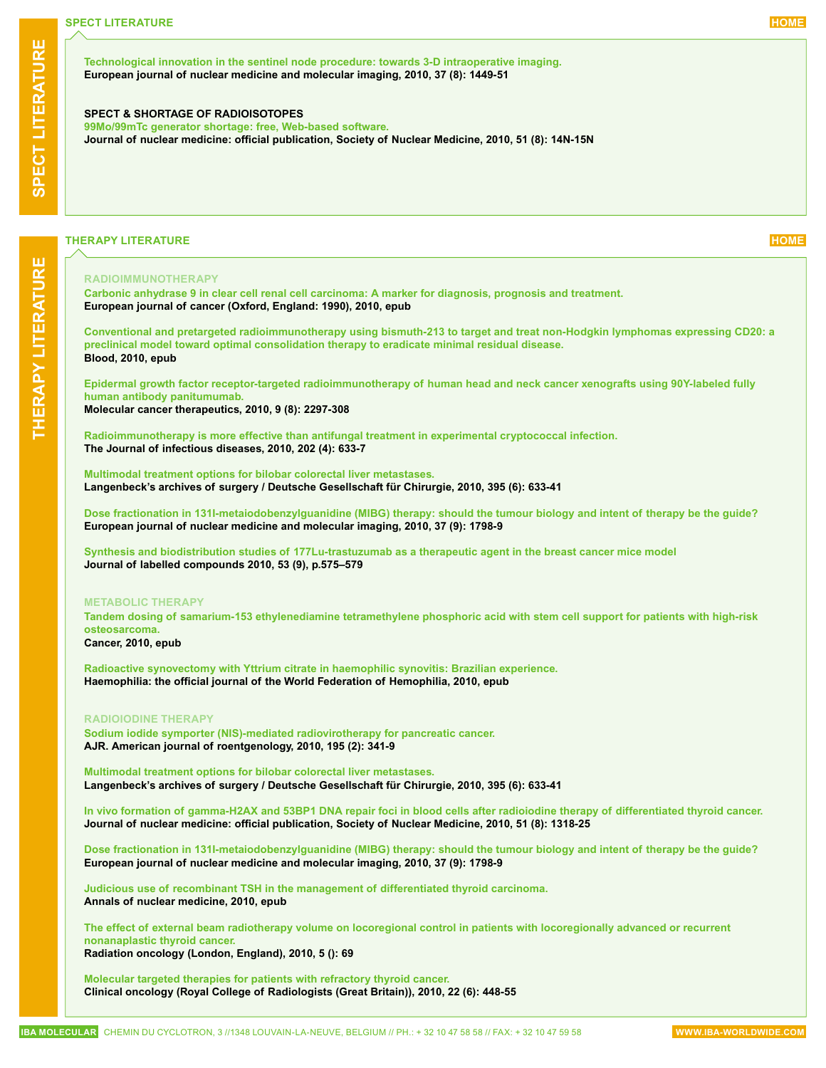**[Technological innovation in the sentinel node procedure: towards 3-D intraoperative imaging.](http://www.ncbi.nlm.nih.gov/pubmed/20428864) European journal of nuclear medicine and molecular imaging, 2010, 37 (8): 1449-51**

#### **SPECT & SHORTAGE OF RADIOISOTOPES**

**[99Mo/99mTc generator shortage: free, Web-based software.](http://www.ncbi.nlm.nih.gov/pubmed/20679462) Journal of nuclear medicine: official publication, Society of Nuclear Medicine, 2010, 51 (8): 14N-15N**

# **THERAPY LITERATURE [HOME](#page-0-0)**

#### **RADIOIMMUNOTHERAPY**

**[Carbonic anhydrase 9 in clear cell renal cell carcinoma: A marker for diagnosis, prognosis and treatment.](http://www.ncbi.nlm.nih.gov/pubmed/20709527) European journal of cancer (Oxford, England: 1990), 2010, epub**

**[Conventional and pretargeted radioimmunotherapy using bismuth-213 to target and treat non-Hodgkin lymphomas expressing CD20: a](http://www.ncbi.nlm.nih.gov/pubmed/20702781)  [preclinical model toward optimal consolidation therapy to eradicate minimal residual disease.](http://www.ncbi.nlm.nih.gov/pubmed/20702781) Blood, 2010, epub**

**[Epidermal growth factor receptor-targeted radioimmunotherapy of human head and neck cancer xenografts using 90Y-labeled fully](http://www.ncbi.nlm.nih.gov/pubmed/20682654)  [human antibody panitumumab.](http://www.ncbi.nlm.nih.gov/pubmed/20682654) Molecular cancer therapeutics, 2010, 9 (8): 2297-308**

**[Radioimmunotherapy is more effective than antifungal treatment in experimental cryptococcal infection.](http://www.ncbi.nlm.nih.gov/pubmed/20594103) The Journal of infectious diseases, 2010, 202 (4): 633-7**

**[Multimodal treatment options for bilobar colorectal liver metastases.](http://www.ncbi.nlm.nih.gov/pubmed/20213463) Langenbeck's archives of surgery / Deutsche Gesellschaft für Chirurgie, 2010, 395 (6): 633-41**

**[Dose fractionation in 131I-metaiodobenzylguanidine \(MIBG\) therapy: should the tumour biology and intent of therapy be the guide?](http://www.ncbi.nlm.nih.gov/pubmed/20596864) European journal of nuclear medicine and molecular imaging, 2010, 37 (9): 1798-9**

**[Synthesis and biodistribution studies of 177Lu-trastuzumab as a therapeutic agent in the breast cancer mice model](http://onlinelibrary.wiley.com/doi/10.1002/jlcr.v53:9/issuetoc) Journal of labelled compounds 2010, 53 (9), p.575–579**

#### **METABOLIC THERAPY**

**[Tandem dosing of samarium-153 ethylenediamine tetramethylene phosphoric acid with stem cell support for patients with high-risk](http://www.ncbi.nlm.nih.gov/pubmed/20715156)  [osteosarcoma.](http://www.ncbi.nlm.nih.gov/pubmed/20715156)**

# **Cancer, 2010, epub**

**[Radioactive synovectomy with Yttrium citrate in haemophilic synovitis: Brazilian experience.](http://www.ncbi.nlm.nih.gov/pubmed/20731723) Haemophilia: the official journal of the World Federation of Hemophilia, 2010, epub**

#### **RADIOIODINE THERAPY**

**[Sodium iodide symporter \(NIS\)-mediated radiovirotherapy for pancreatic cancer.](http://www.ncbi.nlm.nih.gov/pubmed/20651188) AJR. American journal of roentgenology, 2010, 195 (2): 341-9**

**[Multimodal treatment options for bilobar colorectal liver metastases.](http://www.ncbi.nlm.nih.gov/pubmed/20213463) Langenbeck's archives of surgery / Deutsche Gesellschaft für Chirurgie, 2010, 395 (6): 633-41**

**[In vivo formation of gamma-H2AX and 53BP1 DNA repair foci in blood cells after radioiodine therapy of differentiated thyroid cancer.](http://www.ncbi.nlm.nih.gov/pubmed/20660387) Journal of nuclear medicine: official publication, Society of Nuclear Medicine, 2010, 51 (8): 1318-25**

**[Dose fractionation in 131I-metaiodobenzylguanidine \(MIBG\) therapy: should the tumour biology and intent of therapy be the guide?](http://www.ncbi.nlm.nih.gov/pubmed/20596864) European journal of nuclear medicine and molecular imaging, 2010, 37 (9): 1798-9**

**[Judicious use of recombinant TSH in the management of differentiated thyroid carcinoma.](http://www.ncbi.nlm.nih.gov/pubmed/20700666) Annals of nuclear medicine, 2010, epub**

**[The effect of external beam radiotherapy volume on locoregional control in patients with locoregionally advanced or recurrent](http://www.ncbi.nlm.nih.gov/pubmed/20687967)  [nonanaplastic thyroid cancer.](http://www.ncbi.nlm.nih.gov/pubmed/20687967) Radiation oncology (London, England), 2010, 5 (): 69**

**[Molecular targeted therapies for patients with refractory thyroid cancer.](http://www.ncbi.nlm.nih.gov/pubmed/20554167) Clinical oncology (Royal College of Radiologists (Great Britain)), 2010, 22 (6): 448-55**

**THERAP**

<span id="page-9-0"></span>**LITERATURE**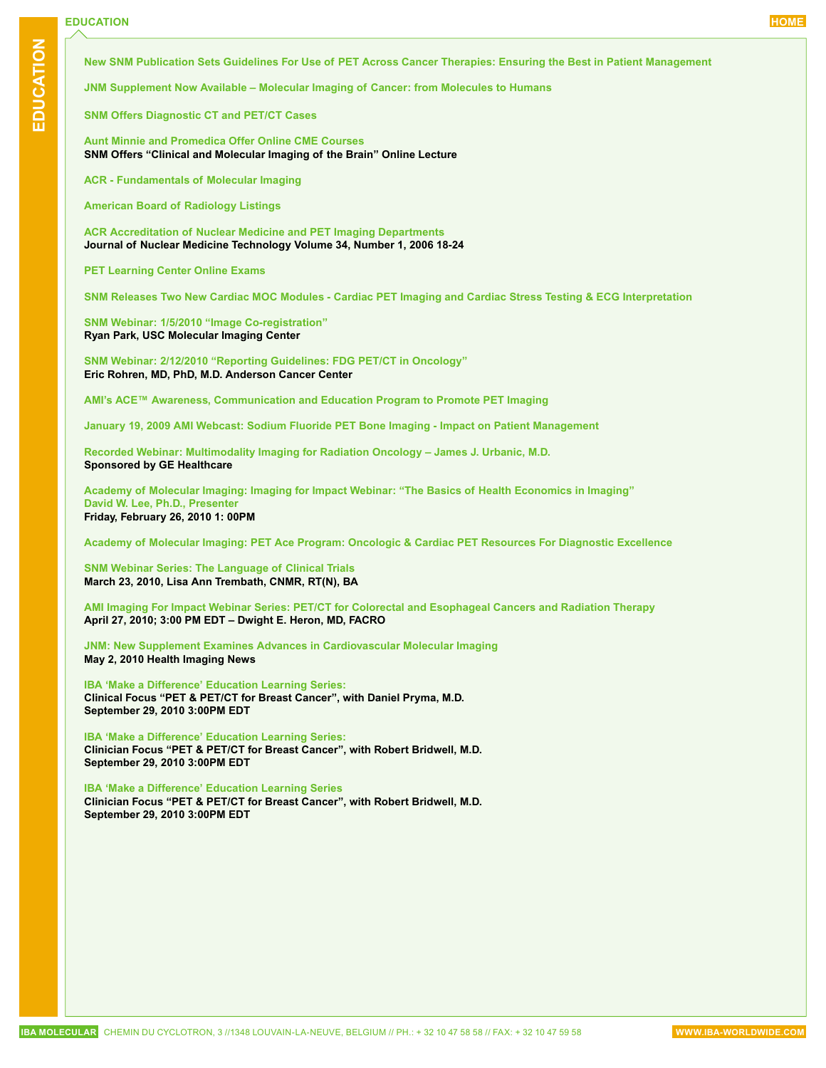**Educati**

<span id="page-10-0"></span>**on**

**[New SNM Publication Sets Guidelines For Use of PET Across Cancer Therapies: Ensuring the Best in Patient Management](http://interactive.snm.org/index.cfm?PageID=8640&RPID=922)**

**[JNM Supplement Now Available – Molecular Imaging of Cancer: from Molecules to Humans](http://interactive.snm.org/index.cfm?PageID=7634)**

**[SNM Offers Diagnostic CT and PET/CT Cases](http://interactive.snm.org/index.cfm?PageID=3625&diagnostic_ctpetct=1&CFID=1022046&CFTOKEN=72498767)**

**[Aunt Minnie and Promedica Offer Online CME](http://education.auntminnie.com/amcme/CMEArchiveFetcher.asp) Courses [SNM Offers "Clinical and Molecular Imaging of the Brain" Online Lecture](http://interactive.snm.org/index.cfm?PageID=939&RPID=2251)**

**[ACR - Fundamentals of Molecular Imaging](http://campus.acr.org/acr/mils.aspx)**

**[American Board of Radiology Listings](http://www.theabr.org)**

**[ACR Accreditation of Nuclear Medicine and PET Imaging Departments](http://tech.snmjournals.org/cgi/content/abstract/34/1/18)  Journal of Nuclear Medicine Technology Volume 34, Number 1, 2006 18-24**

**[PET Learning Center Online Exams](http://interactive.snm.org/index.cfm?PageID=1087&RPID=2142)**

**[SNM Releases Two New Cardiac MOC Modules - Cardiac PET Imaging and Cardiac Stress Testing & ECG Interpretation](http://interactive.snm.org/index.cfm?PageID=3625)**

**[SNM Webinar: 1/5/2010 "Image Co-registration"](https://interactive.snm.org/index.cfm?PageID=9162&RPID=939&CFID=1098610&CFTOKEN=99148251) Ryan Park, USC Molecular Imaging Center** 

**[SNM Webinar: 2/12/2010 "Reporting Guidelines: FDG PET/CT in Oncology"](https://interactive.snm.org/index.cfm?PageID=9162&RPID=939&CFID=1098610&CFTOKEN=99148251)  Eric Rohren, MD, PhD, M.D. Anderson Cancer Center**

**[AMI's ACE™ Awareness, Communication and Education Program to Promote PET Imaging](http://www.ami-imaging.org/index.php?option=com_content&task=view&id=176&Itemid=135)**

**[January 19, 2009 AMI Webcast: Sodium Fluoride PET Bone Imaging - Impact on Patient Management](http://www.ami-imaging.org/pdf/Jan2010.pdf)**

**[Recorded Webinar: Multimodality Imaging for Radiation Oncology – James J. Urbanic, M.D.](http://webcast.streamlogics.com/portal/gehealthcare/oncology/) Sponsored by GE Healthcare**

**[Academy of Molecular Imaging: Imaging for Impact Webinar: "The Basics of Health Economics in Imaging"](http://www.ami-imaging.org/) [David W. Lee, Ph.D., Presenter](http://www.ami-imaging.org/) Friday, February 26, 2010 1: 00PM**

**[Academy of Molecular Imaging: PET Ace Program: Oncologic & Cardiac PET Resources For Diagnostic Excellence](http://www.petaceprogram.com)**

**[SNM Webinar Series: The Language of Clinical Trials](https://interactive.snm.org/index.cfm?PageID=9162) March 23, 2010, Lisa Ann Trembath, CNMR, RT(N), BA**

**[AMI Imaging For Impact Webinar Series: PET/CT for Colorectal and Esophageal Cancers and Radiation Therapy](http://www.ami-imaging.org/images/pdf/WebCast_April2010.pdf) April 27, 2010; 3:00 PM EDT – Dwight E. Heron, MD, FACRO**

**[JNM: New Supplement Examines Advances in Cardiovascular Molecular Imaging](http://www.healthimaging.com/index.php?option=com_articles&view=portal&id=publication:10:article:21988) May 2, 2010 Health Imaging News**

**[IBA 'Make a Difference' Education Learning Series:](https://iba-groupevents.webex.com) Clinical Focus "PET & PET/CT for Breast Cancer", with Daniel Pryma, M.D. September 29, 2010 3:00PM EDT**

**[IBA 'Make a Difference' Education Learning Series:](https://iba-groupevents.webex.com) Clinician Focus "PET & PET/CT for Breast Cancer", with Robert Bridwell, M.D. September 29, 2010 3:00PM EDT**

**[IBA 'Make a Difference' Education Learning Series](https://iba-groupevents.webex.com) Clinician Focus "PET & PET/CT for Breast Cancer", with Robert Bridwell, M.D. September 29, 2010 3:00PM EDT**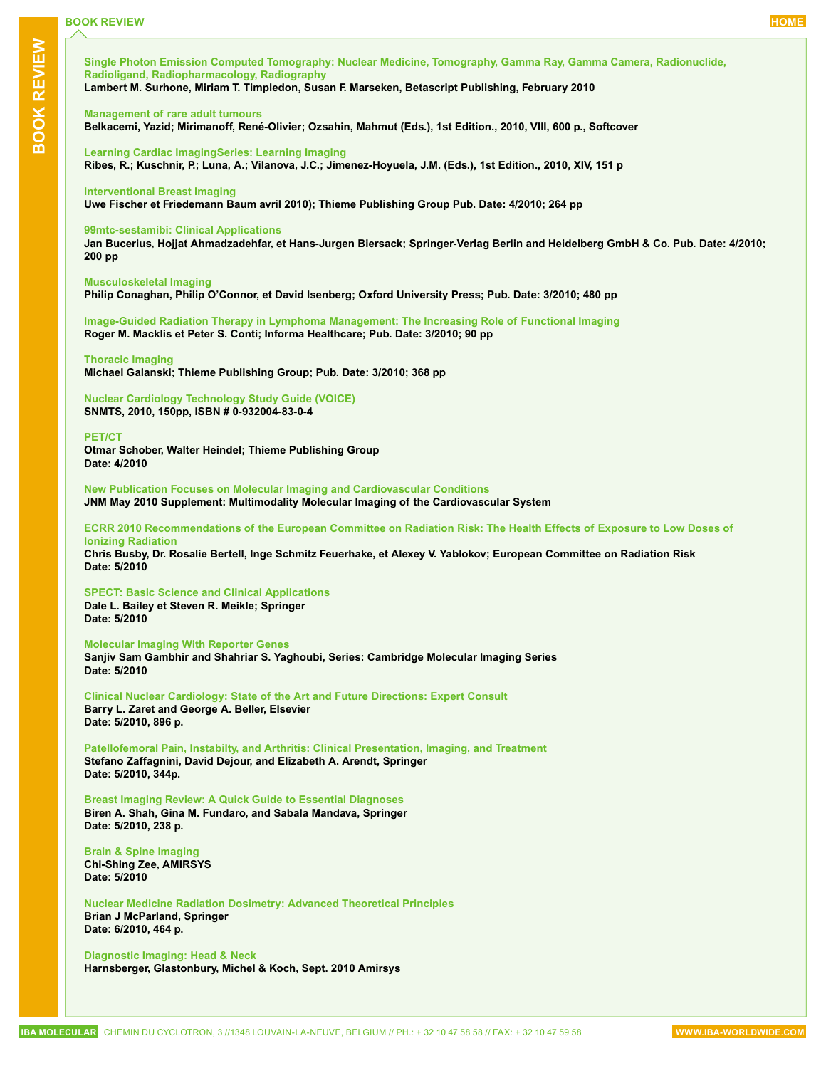<span id="page-11-0"></span>**[Single Photon Emission Computed Tomography: Nuclear Medicine, Tomography, Gamma Ray, Gamma Camera, Radionuclide,](http://www.amazon.com/Single-Photon-Emission-Computed-Tomography/dp/6130399294/ref=sr_1_204?ie=UTF8&s=books&qid=1267625557&sr=1-204)  [Radioligand, Radiopharmacology, Radiography](http://www.amazon.com/Single-Photon-Emission-Computed-Tomography/dp/6130399294/ref=sr_1_204?ie=UTF8&s=books&qid=1267625557&sr=1-204)**

**Lambert M. Surhone, Miriam T. Timpledon, Susan F. Marseken, Betascript Publishing, February 2010**

# **[Management of rare adult tumours](http://www.springer.com/medicine/book/978-2-287-92245-9)**

**Belkacemi, Yazid; Mirimanoff, René-Olivier; Ozsahin, Mahmut (Eds.), 1st Edition., 2010, VIII, 600 p., Softcover**

**[Learning Cardiac ImagingSeries: Learning Imaging](http://www.springer.com/medicine/radiology/book/978-3-540-79082-2)  Ribes, R.; Kuschnir, P.; Luna, A.; Vilanova, J.C.; Jimenez-Hoyuela, J.M. (Eds.), 1st Edition., 2010, XIV, 151 p**

### **[Interventional Breast Imaging](http://www.thieme.com/index.php?option=com_virtuemart&page=shop.product_details&flypage=flypage.tpl&product_id=752&Itemid=53)**

**Uwe Fischer et Friedemann Baum avril 2010); Thieme Publishing Group Pub. Date: 4/2010; 264 pp**

# **[99mtc-sestamibi: Clinical Applications](http://www.springer.com/medicine/nuclear+medicine/book/978-3-642-04232-4)**

**Jan Bucerius, Hojjat Ahmadzadehfar, et Hans-Jurgen Biersack; Springer-Verlag Berlin and Heidelberg GmbH & Co. Pub. Date: 4/2010; 200 pp**

# **[Musculoskeletal Imaging](http://www.oup.com/us/catalog/general/subject/Medicine/Radiology/?view=usa&ci=9780199235773)**

**Philip Conaghan, Philip O'Connor, et David Isenberg; Oxford University Press; Pub. Date: 3/2010; 480 pp**

**[Image-Guided Radiation Therapy in Lymphoma Management: The Increasing Role of Functional Imaging](http://informahealthcarebooks.com/image-guided-radiation-therapy-in-lymphoma-management.html?SID=0dbbf135b665f8750115b5f7e8803207) Roger M. Macklis et Peter S. Conti; Informa Healthcare; Pub. Date: 3/2010; 90 pp**

#### **[Thoracic Imaging](http://www.thieme.com/index.php?page=shop.product_details&flypage=flypage.tpl&product_id=1025&category_id=7&option=com_virtuemart&Itemid=53)**

**Michael Galanski; Thieme Publishing Group; Pub. Date: 3/2010; 368 pp**

**[Nuclear Cardiology Technology Study Guide \(VOICE\)](http://www.snm.org/index.cfm?PageID=9646) SNMTS, 2010, 150pp, ISBN # 0-932004-83-0-4**

#### **[PET/CT](http://bookshop.blackwell.co.uk/jsp/a/Otmar_Schober_Walter_Heindel)**

**Otmar Schober, Walter Heindel; Thieme Publishing Group Date: 4/2010**

**[New Publication Focuses on Molecular Imaging and Cardiovascular Conditions](http://interactive.snm.org/index.cfm?PageID=9691) JNM May 2010 Supplement: Multimodality Molecular Imaging of the Cardiovascular System**

### **[ECRR 2010 Recommendations of the European Committee on Radiation Risk: The Health Effects of Exposure to Low Doses of](http://www.euradcom.org/2003/order.htm)  [Ionizing Radiation](http://www.euradcom.org/2003/order.htm)**

**Chris Busby, Dr. Rosalie Bertell, Inge Schmitz Feuerhake, et Alexey V. Yablokov; European Committee on Radiation Risk Date: 5/2010** 

#### **[SPECT: Basic Science and Clinical Applications](http://www.springer.com/medicine/nuclear+medicine/book/978-1-84628-511-0?detailsPage=authorsAndEditors)**

**Dale L. Bailey et Steven R. Meikle; Springer Date: 5/2010** 

**[Molecular Imaging With Reporter Genes](http://www.cambridge.org/catalogue/catalogue.asp?isbn=9780521882330)** 

**Sanjiv Sam Gambhir and Shahriar S. Yaghoubi, Series: Cambridge Molecular Imaging Series Date: 5/2010** 

**[Clinical Nuclear Cardiology: State of the Art and Future Directions: Expert Consult](http://www.us.elsevierhealth.com/Medicine/Cardiology/book/9780323057967/Clinical-Nuclear-Cardiology-State-of-the-Art-and-Future-Directions/)  Barry L. Zaret and George A. Beller, Elsevier Date: 5/2010, 896 p.**

**[Patellofemoral Pain, Instabilty, and Arthritis: Clinical Presentation, Imaging, and Treatment](http://www.springer.com/medicine/orthopedics/book/978-3-642-05423-5)  Stefano Zaffagnini, David Dejour, and Elizabeth A. Arendt, Springer Date: 5/2010, 344p.**

**[Breast Imaging Review: A Quick Guide to Essential Diagnoses](http://www.springer.com/medicine/radiology/book/978-1-4419-1727-0) Biren A. Shah, Gina M. Fundaro, and Sabala Mandava, Springer Date: 5/2010, 238 p.**

#### **[Brain & Spine Imaging](http://www.amirsys.com/publishing/exddx-brain.php)  Chi-Shing Zee, AMIRSYS Date: 5/2010**

**[Nuclear Medicine Radiation Dosimetry: Advanced Theoretical Principles](http://www.springer.com/medicine/nuclear+medicine/book/978-1-84882-125-5)  Brian J McParland, Springer Date: 6/2010, 464 p.**

**[Diagnostic Imaging: Head & Neck](http://www.lww.com/product/?978-1-931884-78-5) Harnsberger, Glastonbury, Michel & Koch, Sept. 2010 Amirsys**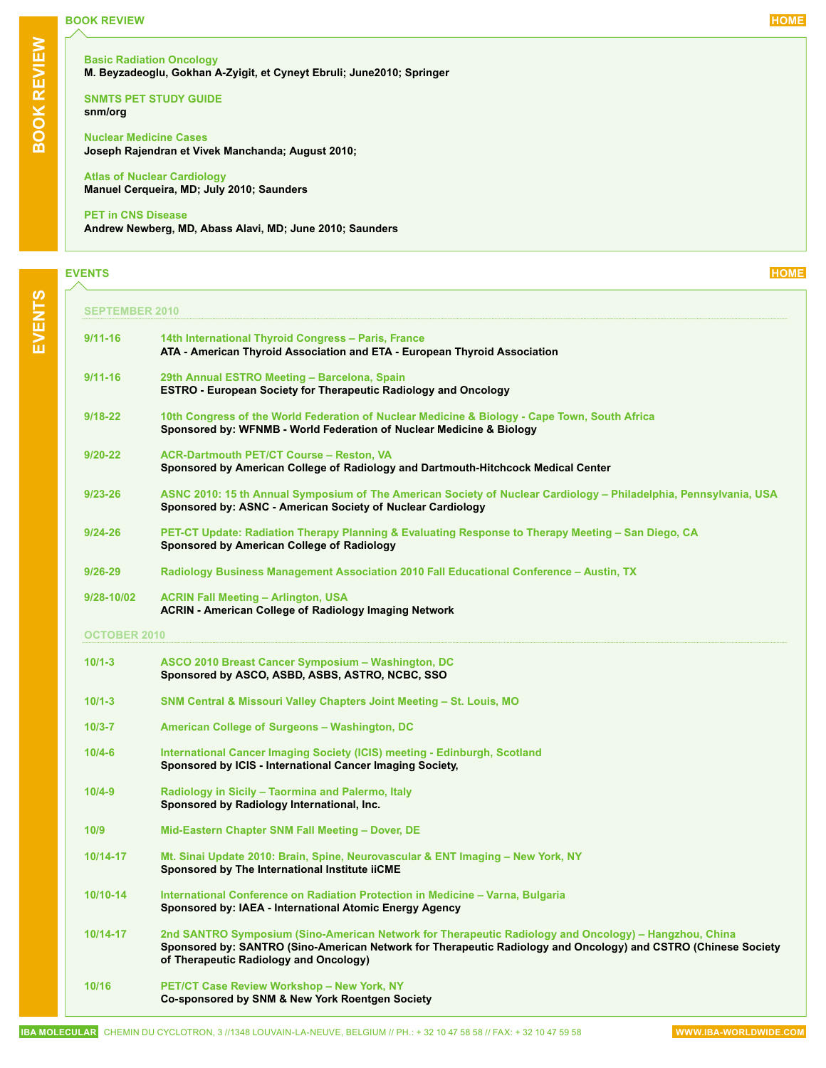# <span id="page-12-0"></span>**BOOK REVIEW [HOME](#page-0-0)**

**[SNMTS PET STUDY](http://interactive.snm.org/index.cfm?PageID=9903) GUIDE snm/org**

**[Nuclear Medicine Cases](http://www.mcgraw-hill.co.uk/html/0071476040.html)  Joseph Rajendran et Vivek Manchanda; August 2010;** 

**[Atlas of Nuclear Cardiology](http://www.elsevier.com/wps/find/bookdescription.editors/720731/description#description) Manuel Cerqueira, MD; July 2010; Saunders**

#### **[PET in CNS](http://www.elsevier.com/wps/find/bookdescription.editors/722604/description#description) Disease**

**Andrew Newberg, MD, Abass Alavi, MD; June 2010; Saunders**

# **EVENTS [HOME](#page-0-0)**

**september 2010**

| 9/11-16             | 14th International Thyroid Congress - Paris, France<br>ATA - American Thyroid Association and ETA - European Thyroid Association                                                                                                                                  |
|---------------------|-------------------------------------------------------------------------------------------------------------------------------------------------------------------------------------------------------------------------------------------------------------------|
| $9/11 - 16$         | 29th Annual ESTRO Meeting - Barcelona, Spain<br><b>ESTRO - European Society for Therapeutic Radiology and Oncology</b>                                                                                                                                            |
| $9/18 - 22$         | 10th Congress of the World Federation of Nuclear Medicine & Biology - Cape Town, South Africa<br>Sponsored by: WFNMB - World Federation of Nuclear Medicine & Biology                                                                                             |
| 9/20-22             | <b>ACR-Dartmouth PET/CT Course - Reston, VA</b><br>Sponsored by American College of Radiology and Dartmouth-Hitchcock Medical Center                                                                                                                              |
| 9/23-26             | ASNC 2010: 15 th Annual Symposium of The American Society of Nuclear Cardiology – Philadelphia, Pennsylvania, USA<br>Sponsored by: ASNC - American Society of Nuclear Cardiology                                                                                  |
| 9/24-26             | PET-CT Update: Radiation Therapy Planning & Evaluating Response to Therapy Meeting - San Diego, CA<br>Sponsored by American College of Radiology                                                                                                                  |
| 9/26-29             | Radiology Business Management Association 2010 Fall Educational Conference – Austin, TX                                                                                                                                                                           |
| 9/28-10/02          | <b>ACRIN Fall Meeting - Arlington, USA</b><br><b>ACRIN - American College of Radiology Imaging Network</b>                                                                                                                                                        |
| <b>OCTOBER 2010</b> |                                                                                                                                                                                                                                                                   |
| $10/1 - 3$          | ASCO 2010 Breast Cancer Symposium - Washington, DC<br>Sponsored by ASCO, ASBD, ASBS, ASTRO, NCBC, SSO                                                                                                                                                             |
| $10/1 - 3$          | SNM Central & Missouri Valley Chapters Joint Meeting - St. Louis, MO                                                                                                                                                                                              |
| $10/3 - 7$          | American College of Surgeons - Washington, DC                                                                                                                                                                                                                     |
| $10/4 - 6$          | International Cancer Imaging Society (ICIS) meeting - Edinburgh, Scotland<br>Sponsored by ICIS - International Cancer Imaging Society,                                                                                                                            |
| $10/4 - 9$          | Radiology in Sicily - Taormina and Palermo, Italy<br>Sponsored by Radiology International, Inc.                                                                                                                                                                   |
| 10/9                | Mid-Eastern Chapter SNM Fall Meeting - Dover, DE                                                                                                                                                                                                                  |
| 10/14-17            | Mt. Sinai Update 2010: Brain, Spine, Neurovascular & ENT Imaging - New York, NY<br>Sponsored by The International Institute iiCME                                                                                                                                 |
| 10/10-14            | International Conference on Radiation Protection in Medicine - Varna, Bulgaria<br>Sponsored by: IAEA - International Atomic Energy Agency                                                                                                                         |
| 10/14-17            | 2nd SANTRO Symposium (Sino-American Network for Therapeutic Radiology and Oncology) – Hangzhou, China<br>Sponsored by: SANTRO (Sino-American Network for Therapeutic Radiology and Oncology) and CSTRO (Chinese Society<br>of Therapeutic Radiology and Oncology) |
| 10/16               | <b>PET/CT Case Review Workshop - New York, NY</b><br>Co-sponsored by SNM & New York Roentgen Society                                                                                                                                                              |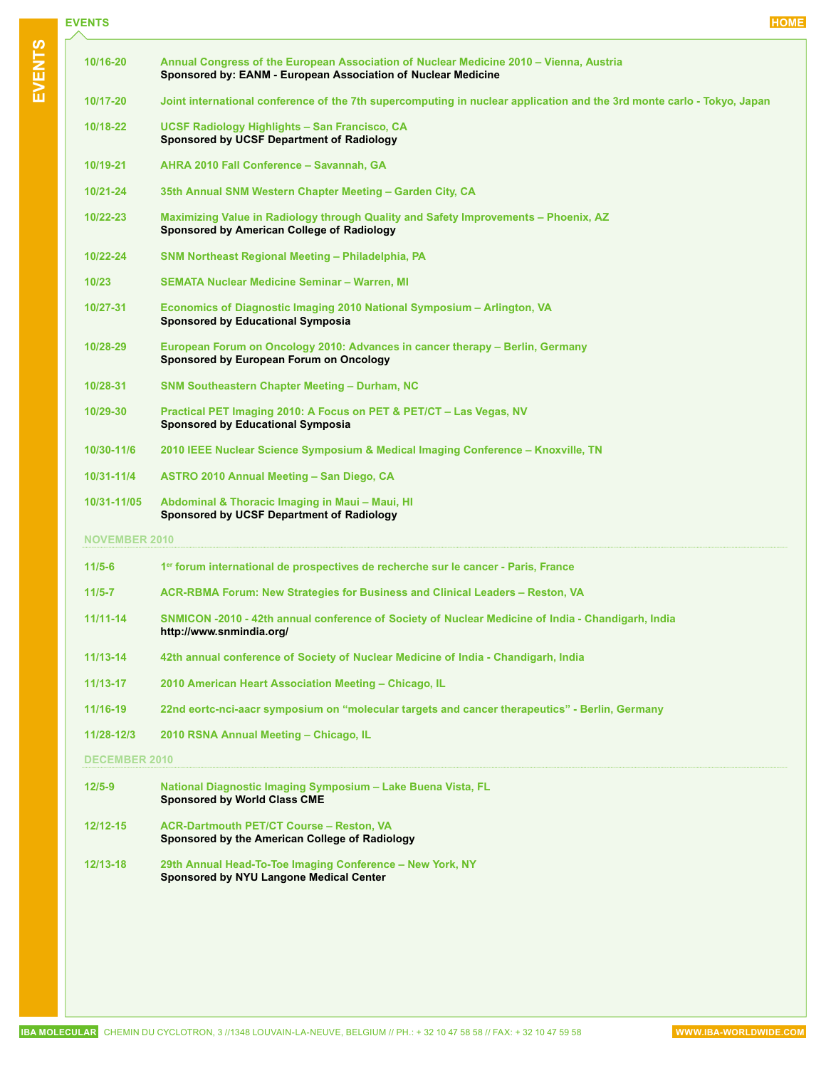| <b>EVENTS</b> | <b>HOME</b> |
|---------------|-------------|
|---------------|-------------|

**EVENT S**

| 10/16-20             | Annual Congress of the European Association of Nuclear Medicine 2010 – Vienna, Austria<br>Sponsored by: EANM - European Association of Nuclear Medicine |  |  |
|----------------------|---------------------------------------------------------------------------------------------------------------------------------------------------------|--|--|
| 10/17-20             | Joint international conference of the 7th supercomputing in nuclear application and the 3rd monte carlo - Tokyo, Japan                                  |  |  |
| 10/18-22             | UCSF Radiology Highlights - San Francisco, CA<br>Sponsored by UCSF Department of Radiology                                                              |  |  |
| 10/19-21             | AHRA 2010 Fall Conference - Savannah, GA                                                                                                                |  |  |
| 10/21-24             | 35th Annual SNM Western Chapter Meeting - Garden City, CA                                                                                               |  |  |
| 10/22-23             | Maximizing Value in Radiology through Quality and Safety Improvements – Phoenix, AZ<br>Sponsored by American College of Radiology                       |  |  |
| 10/22-24             | SNM Northeast Regional Meeting - Philadelphia, PA                                                                                                       |  |  |
| 10/23                | <b>SEMATA Nuclear Medicine Seminar - Warren, MI</b>                                                                                                     |  |  |
| 10/27-31             | Economics of Diagnostic Imaging 2010 National Symposium - Arlington, VA<br><b>Sponsored by Educational Symposia</b>                                     |  |  |
| 10/28-29             | European Forum on Oncology 2010: Advances in cancer therapy – Berlin, Germany<br>Sponsored by European Forum on Oncology                                |  |  |
| 10/28-31             | <b>SNM Southeastern Chapter Meeting - Durham, NC</b>                                                                                                    |  |  |
| 10/29-30             | Practical PET Imaging 2010: A Focus on PET & PET/CT - Las Vegas, NV<br><b>Sponsored by Educational Symposia</b>                                         |  |  |
| 10/30-11/6           | 2010 IEEE Nuclear Science Symposium & Medical Imaging Conference – Knoxville, TN                                                                        |  |  |
| 10/31-11/4           | ASTRO 2010 Annual Meeting - San Diego, CA                                                                                                               |  |  |
| 10/31-11/05          | Abdominal & Thoracic Imaging in Maui - Maui, HI<br><b>Sponsored by UCSF Department of Radiology</b>                                                     |  |  |
| <b>NOVEMBER 2010</b> |                                                                                                                                                         |  |  |
| $11/5 - 6$           | 1er forum international de prospectives de recherche sur le cancer - Paris, France                                                                      |  |  |
| $11/5 - 7$           | <b>ACR-RBMA Forum: New Strategies for Business and Clinical Leaders - Reston, VA</b>                                                                    |  |  |
| $11/11-14$           | SNMICON -2010 - 42th annual conference of Society of Nuclear Medicine of India - Chandigarh, India<br>http://www.snmindia.org/                          |  |  |
| 11/13-14             | 42th annual conference of Society of Nuclear Medicine of India - Chandigarh, India                                                                      |  |  |
| $11/13 - 17$         | 2010 American Heart Association Meeting - Chicago, IL                                                                                                   |  |  |
| 11/16-19             | 22nd eortc-nci-aacr symposium on "molecular targets and cancer therapeutics" - Berlin, Germany                                                          |  |  |
| 11/28-12/3           | 2010 RSNA Annual Meeting - Chicago, IL                                                                                                                  |  |  |
| <b>DECEMBER 2010</b> |                                                                                                                                                         |  |  |
| $12/5 - 9$           | National Diagnostic Imaging Symposium - Lake Buena Vista, FL<br><b>Sponsored by World Class CME</b>                                                     |  |  |
| 12/12-15             | <b>ACR-Dartmouth PET/CT Course - Reston, VA</b>                                                                                                         |  |  |

- **Sponsored by the American College of Radiology**
- **12/13-18 [29th Annual Head-To-Toe Imaging Conference New York, NY](https://tools.med.nyu.edu/RadCourses/index.cfm?fuseaction=courses.DisplayCourse&TheCourseID=6481) Sponsored by NYU Langone Medical Center**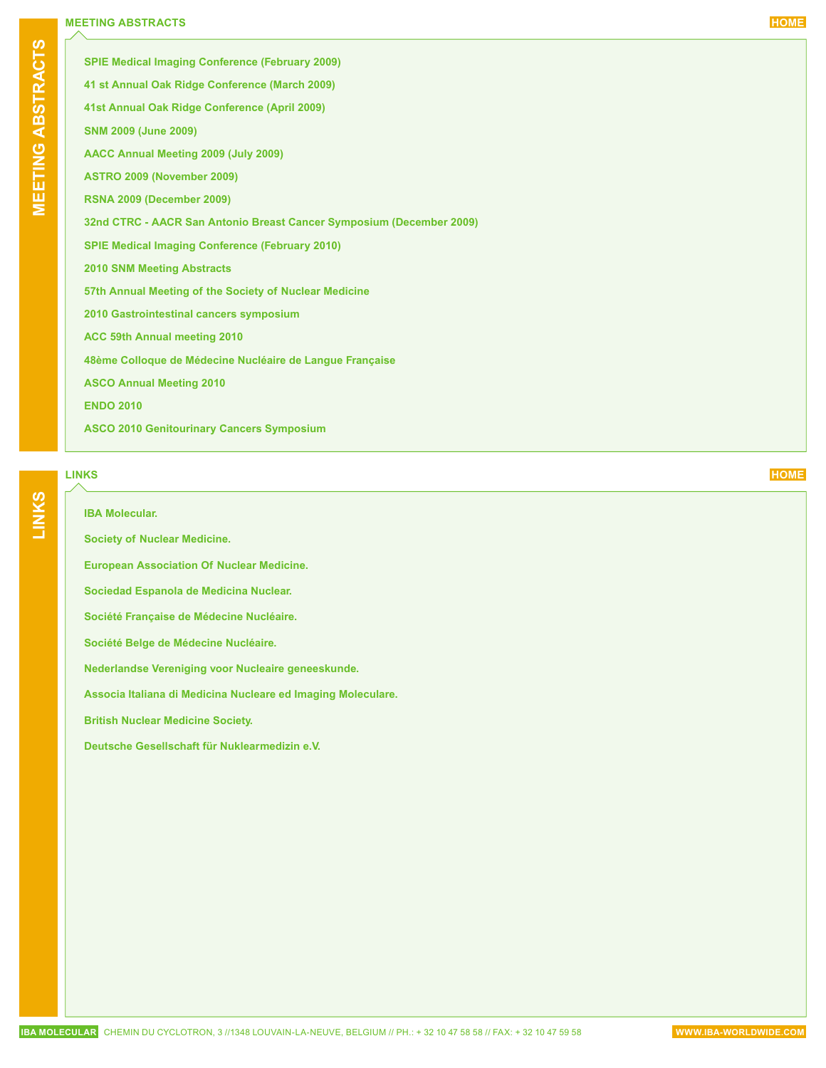# <span id="page-14-0"></span>**MEETING ABSTRACTS [HOME](#page-0-0)**

| <b>SPIE Medical Imaging Conference (February 2009)</b>               |
|----------------------------------------------------------------------|
| 41 st Annual Oak Ridge Conference (March 2009)                       |
| 41st Annual Oak Ridge Conference (April 2009)                        |
| <b>SNM 2009 (June 2009)</b>                                          |
| AACC Annual Meeting 2009 (July 2009)                                 |
| ASTRO 2009 (November 2009)                                           |
| <b>RSNA 2009 (December 2009)</b>                                     |
| 32nd CTRC - AACR San Antonio Breast Cancer Symposium (December 2009) |
| <b>SPIE Medical Imaging Conference (February 2010)</b>               |
| <b>2010 SNM Meeting Abstracts</b>                                    |
| 57th Annual Meeting of the Society of Nuclear Medicine               |
| 2010 Gastrointestinal cancers symposium                              |
| ACC 59th Annual meeting 2010                                         |
| 48ème Colloque de Médecine Nucléaire de Langue Française             |
| <b>ASCO Annual Meeting 2010</b>                                      |
| <b>ENDO 2010</b>                                                     |
| <b>ASCO 2010 Genitourinary Cancers Symposium</b>                     |
|                                                                      |

# **LINKS [HOME](#page-0-0)**

**LINKS**

# **[IBA Molecular.](http://www.iba-worldwide.com/molecular/)**

**[Society of Nuclear Medicine.](http://www.snm.org/)**

**[European Association Of Nuclear Medicine](https://www.eanm.org/).**

**[Sociedad Espanola de Medicina Nuclear](http://www.semn.es/).**

**[Société Française de Médecine Nucléaire](http://www.sfbmn.org/).**

**[Société Belge de Médecine Nucléaire](http://www.belnuc.be/index.php?lang=fr).**

**[Nederlandse Vereniging voor Nucleaire geneeskunde](http://www.nvng.nl/).**

**[Associa Italiana di Medicina Nucleare ed Imaging Moleculare.](http://www.aimn.it/)**

**[British Nuclear Medicine Society](http://www.bnms.org.uk/).**

**[Deutsche Gesellschaft für Nuklearmedizin e.V](http://www.nuklearmedizin.de/).**